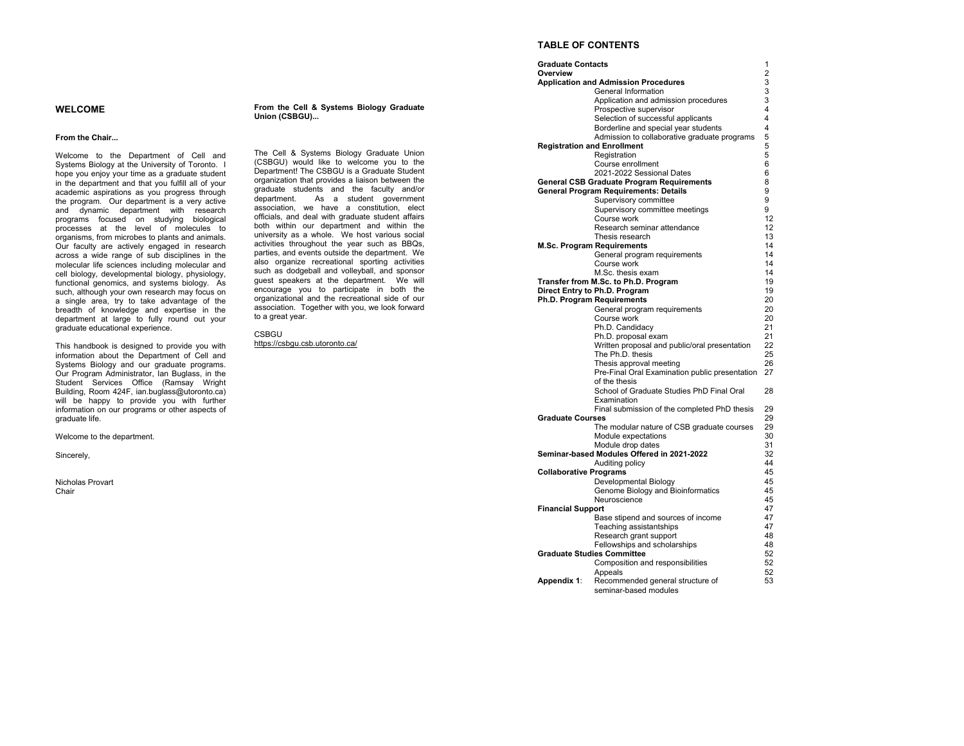# **WELCOME**

#### **From the Chair...**

Welcome to the Department of Cell and Systems Biology at the University of Toronto. I hope you enjoy your time as a graduate student in the department and that you fulfill all of your academic aspirations as you progress through the program. Our department is a very active and dynamic department with research programs focused on studying biological processes at the level of molecules to organisms, from microbes to plants and animals. Our faculty are actively engaged in research across a wide range of sub disciplines in the molecular life sciences including molecular and cell biology, developmental biology, physiology, functional genomics, and systems biology. As such, although your own research may focus on a single area, try to take advantage of the breadth of knowledge and expertise in the department at large to fully round out your graduate educational experience.

This handbook is designed to provide you with information about the Department of Cell and Systems Biology and our graduate programs. Our Program Administrator, Ian Buglass, in the Student Services Office (Ramsay Wright Building, Room 424F, ian.buglass@utoronto.ca) will be happy to provide you with further information on our programs or other aspects of graduate life.

Welcome to the department.

Sincerely,

Nicholas Provart Chair

### **From the Cell & Systems Biology Graduate Union (CSBGU)...**

The Cell & Systems Biology Graduate Union (CSBGU) would like to welcome you to the Department! The CSBGU is a Graduate Student organization that provides a liaison between the graduate students and the faculty and/or department. As a student government association, we have a constitution, elect officials, and deal with graduate student affairs both within our department and within the university as a whole. We host various social activities throughout the year such as BBQs, parties, and events outside the department. We also organize recreational sporting activities such as dodgeball and volleyball, and sponsor guest speakers at the department. We will encourage you to participate in both the organizational and the recreational side of our association. Together with you, we look forward to a great year.

**CSBGU** https://csbgu.csb.utoronto.ca/

### **TABLE OF CONTENTS**

| <b>Graduate Contacts</b>      |                                                  | 1              |
|-------------------------------|--------------------------------------------------|----------------|
| Overview                      |                                                  | $\overline{2}$ |
|                               | <b>Application and Admission Procedures</b>      | 3              |
|                               | General Information                              | 3              |
|                               | Application and admission procedures             | 3              |
|                               | Prospective supervisor                           | 4              |
|                               | Selection of successful applicants               | 4              |
|                               | Borderline and special year students             | 4              |
|                               | Admission to collaborative graduate programs     | 5              |
|                               | <b>Registration and Enrollment</b>               | 5              |
|                               | Registration                                     | 5              |
|                               | Course enrollment                                | 6              |
|                               | 2021-2022 Sessional Dates                        | 6              |
|                               | <b>General CSB Graduate Program Requirements</b> | 8              |
|                               | <b>General Program Requirements: Details</b>     | 9              |
|                               | Supervisory committee                            | 9              |
|                               | Supervisory committee meetings                   | 9              |
|                               | Course work                                      | 12             |
|                               | Research seminar attendance                      | 12             |
|                               | Thesis research                                  | 13             |
|                               | <b>M.Sc. Program Requirements</b>                | 14             |
|                               | General program requirements                     | 14             |
|                               | Course work                                      | 14             |
|                               | M.Sc. thesis exam                                | 14             |
|                               | Transfer from M.Sc. to Ph.D. Program             | 19             |
|                               | Direct Entry to Ph.D. Program                    | 19             |
|                               | <b>Ph.D. Program Requirements</b>                | 20             |
|                               | General program requirements                     | 20             |
|                               | Course work                                      | 20             |
|                               | Ph.D. Candidacy                                  | 21             |
|                               | Ph.D. proposal exam                              | 21             |
|                               | Written proposal and public/oral presentation    | 22             |
|                               | The Ph.D. thesis                                 | 25             |
|                               | Thesis approval meeting                          | 26             |
|                               | Pre-Final Oral Examination public presentation   | 27             |
|                               | of the thesis                                    |                |
|                               | School of Graduate Studies PhD Final Oral        | 28             |
|                               | Examination                                      |                |
|                               | Final submission of the completed PhD thesis     | 29             |
| <b>Graduate Courses</b>       |                                                  | 29             |
|                               | The modular nature of CSB graduate courses       | 29             |
|                               | Module expectations                              | 30             |
|                               | Module drop dates                                | 31             |
|                               | Seminar-based Modules Offered in 2021-2022       | 32             |
|                               | Auditing policy                                  | 44             |
| <b>Collaborative Programs</b> |                                                  | 45             |
|                               | Developmental Biology                            | 45             |
|                               | Genome Biology and Bioinformatics                | 45             |
|                               | Neuroscience                                     | 45             |
| <b>Financial Support</b>      |                                                  | 47             |
|                               | Base stipend and sources of income               | 47             |
|                               | Teaching assistantships                          | 47             |
|                               | Research grant support                           | 48             |
|                               | Fellowships and scholarships                     | 48             |
|                               | <b>Graduate Studies Committee</b>                | 52             |
|                               | Composition and responsibilities                 | 52             |
|                               | Appeals                                          | 52             |
| Appendix 1:                   | Recommended general structure of                 | 53             |
|                               | seminar-based modules                            |                |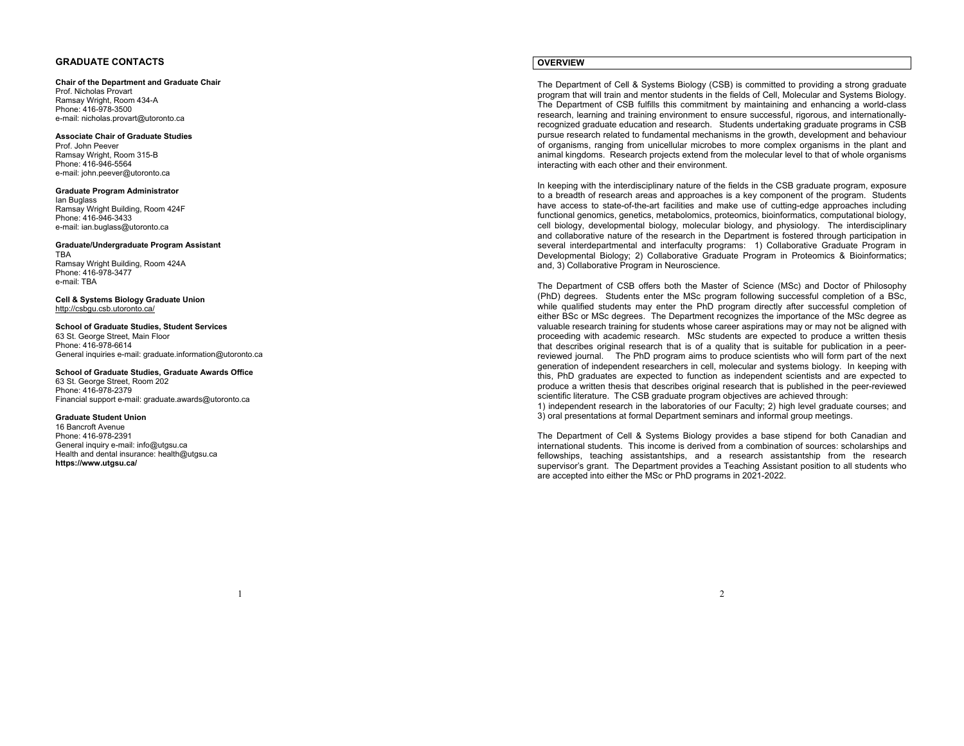## **GRADUATE CONTACTS**

#### **Chair of the Department and Graduate Chair**

Prof. Nicholas Provart Ramsay Wright, Room 434-A Phone: 416-978-3500 e-mail: nicholas.provart@utoronto.ca

### **Associate Chair of Graduate Studies**

Prof. John Peever Ramsay Wright, Room 315-B Phone: 416-946-5564 e-mail: john.peever@utoronto.ca

#### **Graduate Program Administrator**

Ian Buglass Ramsay Wright Building, Room 424F Phone: 416-946-3433 e-mail: ian.buglass@utoronto.ca

#### **Graduate/Undergraduate Program Assistant**  TBA

 Ramsay Wright Building, Room 424A Phone: 416-978-3477 e-mail: TBA

**Cell & Systems Biology Graduate Union** http://csbgu.csb.utoronto.ca/

#### **School of Graduate Studies, Student Services** 63 St. George Street, Main Floor Phone: 416-978-6614 General inquiries e-mail: graduate.information@utoronto.ca

## **School of Graduate Studies, Graduate Awards Office**

63 St. George Street, Room 202 Phone: 416-978-2379 Financial support e-mail: graduate.awards@utoronto.ca

### **Graduate Student Union**

16 Bancroft Avenue Phone: 416-978-2391 General inquiry e-mail: info@utgsu.ca Health and dental insurance: health@utgsu.ca **https://www.utgsu.ca/** 

## **OVERVIEW**

The Department of Cell & Systems Biology (CSB) is committed to providing a strong graduate program that will train and mentor students in the fields of Cell, Molecular and Systems Biology. The Department of CSB fulfills this commitment by maintaining and enhancing a world-class research, learning and training environment to ensure successful, rigorous, and internationallyrecognized graduate education and research. Students undertaking graduate programs in CSB pursue research related to fundamental mechanisms in the growth, development and behaviour of organisms, ranging from unicellular microbes to more complex organisms in the plant and animal kingdoms. Research projects extend from the molecular level to that of whole organisms interacting with each other and their environment.

In keeping with the interdisciplinary nature of the fields in the CSB graduate program, exposure to a breadth of research areas and approaches is a key component of the program. Students have access to state-of-the-art facilities and make use of cutting-edge approaches including functional genomics, genetics, metabolomics, proteomics, bioinformatics, computational biology, cell biology, developmental biology, molecular biology, and physiology. The interdisciplinary and collaborative nature of the research in the Department is fostered through participation in several interdepartmental and interfaculty programs: 1) Collaborative Graduate Program in Developmental Biology; 2) Collaborative Graduate Program in Proteomics & Bioinformatics; and, 3) Collaborative Program in Neuroscience.

The Department of CSB offers both the Master of Science (MSc) and Doctor of Philosophy (PhD) degrees. Students enter the MSc program following successful completion of a BSc, while qualified students may enter the PhD program directly after successful completion of either BSc or MSc degrees. The Department recognizes the importance of the MSc degree as valuable research training for students whose career aspirations may or may not be aligned with proceeding with academic research. MSc students are expected to produce a written thesis that describes original research that is of a quality that is suitable for publication in a peerreviewed journal. The PhD program aims to produce scientists who will form part of the next generation of independent researchers in cell, molecular and systems biology. In keeping with this, PhD graduates are expected to function as independent scientists and are expected to produce a written thesis that describes original research that is published in the peer-reviewed scientific literature. The CSB graduate program objectives are achieved through:

1) independent research in the laboratories of our Faculty; 2) high level graduate courses; and 3) oral presentations at formal Department seminars and informal group meetings.

The Department of Cell & Systems Biology provides a base stipend for both Canadian and international students. This income is derived from a combination of sources: scholarships and fellowships, teaching assistantships, and a research assistantship from the research supervisor's grant. The Department provides a Teaching Assistant position to all students who are accepted into either the MSc or PhD programs in 2021-2022.

2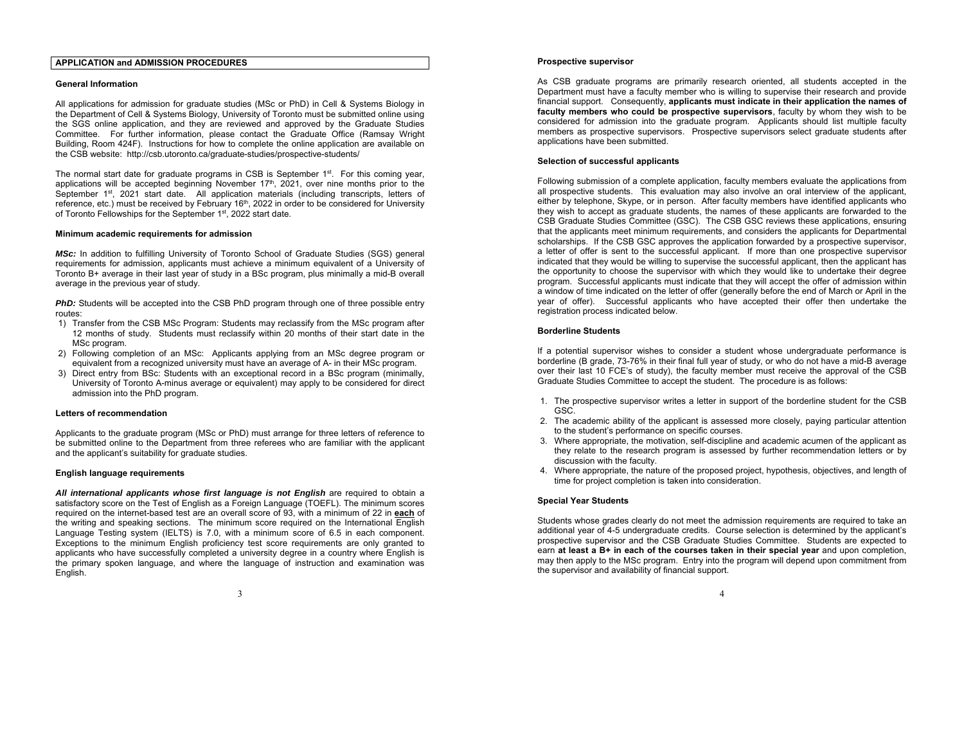## **APPLICATION and ADMISSION PROCEDURES**

### **General Information**

All applications for admission for graduate studies (MSc or PhD) in Cell & Systems Biology in the Department of Cell & Systems Biology, University of Toronto must be submitted online using the SGS online application, and they are reviewed and approved by the Graduate Studies Committee. For further information, please contact the Graduate Office (Ramsay Wright Building, Room 424F). Instructions for how to complete the online application are available on the CSB website: http://csb.utoronto.ca/graduate-studies/prospective-students/

The normal start date for graduate programs in CSB is September  $1<sup>st</sup>$ . For this coming year, applications will be accepted beginning November  $17<sup>th</sup>$ , 2021, over nine months prior to the September 1<sup>st</sup>, 2021 start date. All application materials (including transcripts, letters of reference, etc.) must be received by February 16<sup>th</sup>, 2022 in order to be considered for University of Toronto Fellowships for the September 1st, 2022 start date.

### **Minimum academic requirements for admission**

*MSc:* In addition to fulfilling University of Toronto School of Graduate Studies (SGS) general requirements for admission, applicants must achieve a minimum equivalent of a University of Toronto B+ average in their last year of study in a BSc program, plus minimally a mid-B overall average in the previous year of study.

**PhD:** Students will be accepted into the CSB PhD program through one of three possible entry routes:

- 1) Transfer from the CSB MSc Program: Students may reclassify from the MSc program after 12 months of study. Students must reclassify within 20 months of their start date in the MSc program.
- 2) Following completion of an MSc: Applicants applying from an MSc degree program or equivalent from a recognized university must have an average of A- in their MSc program.
- 3) Direct entry from BSc: Students with an exceptional record in a BSc program (minimally, University of Toronto A-minus average or equivalent) may apply to be considered for direct admission into the PhD program.

### **Letters of recommendation**

Applicants to the graduate program (MSc or PhD) must arrange for three letters of reference to be submitted online to the Department from three referees who are familiar with the applicant and the applicant's suitability for graduate studies.

### **English language requirements**

*All international applicants whose first language is not English* are required to obtain a satisfactory score on the Test of English as a Foreign Language (TOEFL). The minimum scores required on the internet-based test are an overall score of 93, with a minimum of 22 in **each** of the writing and speaking sections. The minimum score required on the International English Language Testing system (IELTS) is 7.0, with a minimum score of 6.5 in each component. Exceptions to the minimum English proficiency test score requirements are only granted to applicants who have successfully completed a university degree in a country where English is the primary spoken language, and where the language of instruction and examination was English.

As CSB graduate programs are primarily research oriented, all students accepted in the Department must have a faculty member who is willing to supervise their research and provide financial support. Consequently, **applicants must indicate in their application the names of faculty members who could be prospective supervisors**, faculty by whom they wish to be considered for admission into the graduate program. Applicants should list multiple faculty members as prospective supervisors. Prospective supervisors select graduate students after applications have been submitted.

### **Selection of successful applicants**

Following submission of a complete application, faculty members evaluate the applications from all prospective students. This evaluation may also involve an oral interview of the applicant, either by telephone, Skype, or in person. After faculty members have identified applicants who they wish to accept as graduate students, the names of these applicants are forwarded to the CSB Graduate Studies Committee (GSC). The CSB GSC reviews these applications, ensuring that the applicants meet minimum requirements, and considers the applicants for Departmental scholarships. If the CSB GSC approves the application forwarded by a prospective supervisor, a letter of offer is sent to the successful applicant. If more than one prospective supervisor indicated that they would be willing to supervise the successful applicant, then the applicant has the opportunity to choose the supervisor with which they would like to undertake their degree program. Successful applicants must indicate that they will accept the offer of admission within a window of time indicated on the letter of offer (generally before the end of March or April in the year of offer). Successful applicants who have accepted their offer then undertake the registration process indicated below.

### **Borderline Students**

If a potential supervisor wishes to consider a student whose undergraduate performance is borderline (B grade, 73-76% in their final full year of study, or who do not have a mid-B average over their last 10 FCE's of study), the faculty member must receive the approval of the CSB Graduate Studies Committee to accept the student. The procedure is as follows:

- 1. The prospective supervisor writes a letter in support of the borderline student for the CSB GSC.
- 2. The academic ability of the applicant is assessed more closely, paying particular attention to the student's performance on specific courses.
- 3. Where appropriate, the motivation, self-discipline and academic acumen of the applicant as they relate to the research program is assessed by further recommendation letters or by discussion with the faculty.
- 4. Where appropriate, the nature of the proposed project, hypothesis, objectives, and length of time for project completion is taken into consideration.

### **Special Year Students**

Students whose grades clearly do not meet the admission requirements are required to take an additional year of 4-5 undergraduate credits. Course selection is determined by the applicant's prospective supervisor and the CSB Graduate Studies Committee. Students are expected to earn **at least a B+ in each of the courses taken in their special year** and upon completion, may then apply to the MSc program. Entry into the program will depend upon commitment from the supervisor and availability of financial support.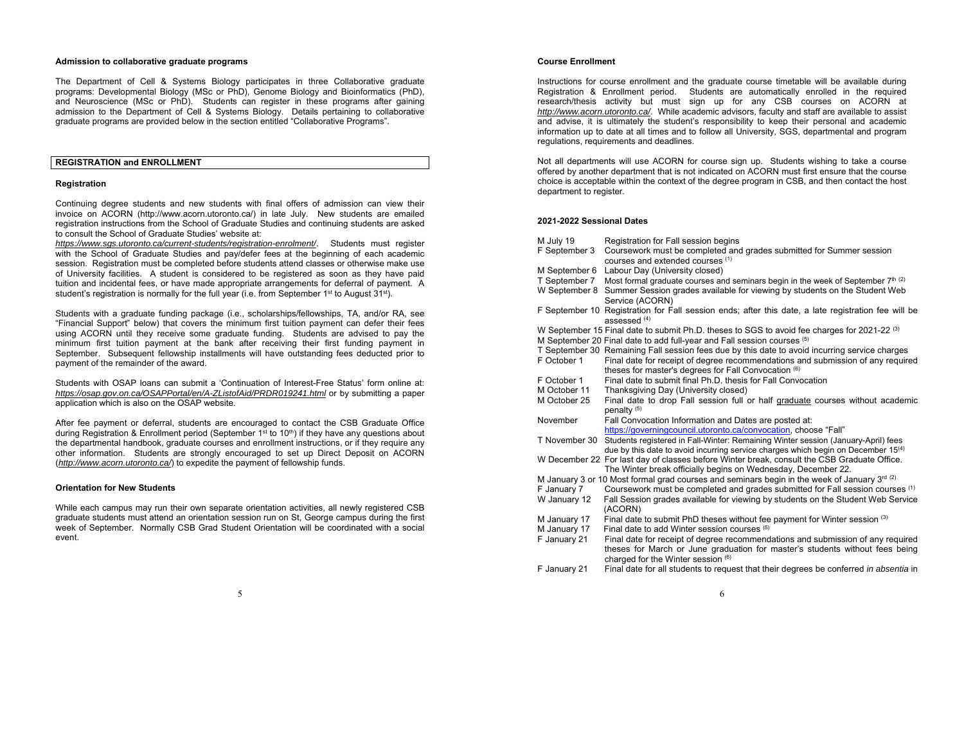### **Admission to collaborative graduate programs**

The Department of Cell & Systems Biology participates in three Collaborative graduate programs: Developmental Biology (MSc or PhD), Genome Biology and Bioinformatics (PhD), and Neuroscience (MSc or PhD). Students can register in these programs after gaining admission to the Department of Cell & Systems Biology. Details pertaining to collaborative graduate programs are provided below in the section entitled "Collaborative Programs".

## **REGISTRATION and ENROLLMENT**

### **Registration**

Continuing degree students and new students with final offers of admission can view their invoice on ACORN (http://www.acorn.utoronto.ca/) in late July. New students are emailed registration instructions from the School of Graduate Studies and continuing students are asked to consult the School of Graduate Studies' website at:

*https://www.sgs.utoronto.ca/current-students/registration-enrolment/*. Students must register with the School of Graduate Studies and pay/defer fees at the beginning of each academic session. Registration must be completed before students attend classes or otherwise make use of University facilities. A student is considered to be registered as soon as they have paid tuition and incidental fees, or have made appropriate arrangements for deferral of payment. A student's registration is normally for the full year (i.e. from September 1<sup>st</sup> to August 31<sup>st</sup>).

Students with a graduate funding package (i.e., scholarships/fellowships, TA, and/or RA, see "Financial Support" below) that covers the minimum first tuition payment can defer their fees using ACORN until they receive some graduate funding. Students are advised to pay the minimum first tuition payment at the bank after receiving their first funding payment in September. Subsequent fellowship installments will have outstanding fees deducted prior to payment of the remainder of the award.

Students with OSAP loans can submit a 'Continuation of Interest-Free Status' form online at: *https://osap.gov.on.ca/OSAPPortal/en/A-ZListofAid/PRDR019241.html* or by submitting a paper application which is also on the OSAP website.

After fee payment or deferral, students are encouraged to contact the CSB Graduate Office during Registration & Enrollment period (September 1st to 10<sup>th</sup>) if they have any questions about the departmental handbook, graduate courses and enrollment instructions, or if they require any other information. Students are strongly encouraged to set up Direct Deposit on ACORN (*http://www.acorn.utoronto.ca/*) to expedite the payment of fellowship funds.

### **Orientation for New Students**

While each campus may run their own separate orientation activities, all newly registered CSB graduate students must attend an orientation session run on St, George campus during the first week of September. Normally CSB Grad Student Orientation will be coordinated with a social event.

### **Course Enrollment**

Instructions for course enrollment and the graduate course timetable will be available during Registration & Enrollment period. Students are automatically enrolled in the required research/thesis activity but must sign up for any CSB courses on ACORN at *http://www.acorn.utoronto.ca/*. While academic advisors, faculty and staff are available to assist and advise, it is ultimately the student's responsibility to keep their personal and academic information up to date at all times and to follow all University, SGS, departmental and program regulations, requirements and deadlines.

Not all departments will use ACORN for course sign up. Students wishing to take a course offered by another department that is not indicated on ACORN must first ensure that the course choice is acceptable within the context of the degree program in CSB, and then contact the host department to register.

### **2021-2022 Sessional Dates**

| M July 19     | Registration for Fall session begins                                                                                           |
|---------------|--------------------------------------------------------------------------------------------------------------------------------|
| F September 3 | Coursework must be completed and grades submitted for Summer session                                                           |
|               | courses and extended courses (1)                                                                                               |
| M September 6 | Labour Day (University closed)                                                                                                 |
| T September 7 | Most formal graduate courses and seminars begin in the week of September 7th (2)                                               |
| W September 8 | Summer Session grades available for viewing by students on the Student Web                                                     |
|               | Service (ACORN)                                                                                                                |
|               | F September 10 Registration for Fall session ends; after this date, a late registration fee will be<br>assessed <sup>(4)</sup> |
|               | W September 15 Final date to submit Ph.D. theses to SGS to avoid fee charges for 2021-22 <sup>(3)</sup>                        |
|               | M September 20 Final date to add full-year and Fall session courses (5)                                                        |
|               | T September 30 Remaining Fall session fees due by this date to avoid incurring service charges                                 |
| F October 1   | Final date for receipt of degree recommendations and submission of any required                                                |
|               | theses for master's degrees for Fall Convocation (6)                                                                           |
| F October 1   | Final date to submit final Ph.D. thesis for Fall Convocation                                                                   |
| M October 11  | Thanksgiving Day (University closed)                                                                                           |
| M October 25  | Final date to drop Fall session full or half graduate courses without academic                                                 |
|               |                                                                                                                                |
|               | penalty <sup>(5)</sup>                                                                                                         |
| November      | Fall Convocation Information and Dates are posted at:                                                                          |
|               | https://governingcouncil.utoronto.ca/convocation, choose "Fall"                                                                |
| T November 30 | Students registered in Fall-Winter: Remaining Winter session (January-April) fees                                              |
|               | due by this date to avoid incurring service charges which begin on December 15 <sup>(4)</sup>                                  |
|               | W December 22 For last day of classes before Winter break, consult the CSB Graduate Office.                                    |
|               | The Winter break officially begins on Wednesday, December 22.                                                                  |
|               | M January 3 or 10 Most formal grad courses and seminars begin in the week of January $3rd$ (2)                                 |
| F January 7   | Coursework must be completed and grades submitted for Fall session courses (1)                                                 |
| W January 12  | Fall Session grades available for viewing by students on the Student Web Service<br>(ACORN)                                    |
| M January 17  | Final date to submit PhD theses without fee payment for Winter session (3)                                                     |
| M January 17  | Final date to add Winter session courses (5)                                                                                   |
| F January 21  | Final date for receipt of degree recommendations and submission of any required                                                |
|               | theses for March or June graduation for master's students without fees being                                                   |
|               | charged for the Winter session (6)                                                                                             |
| F January 21  | Final date for all students to request that their degrees be conferred in absentia in                                          |

6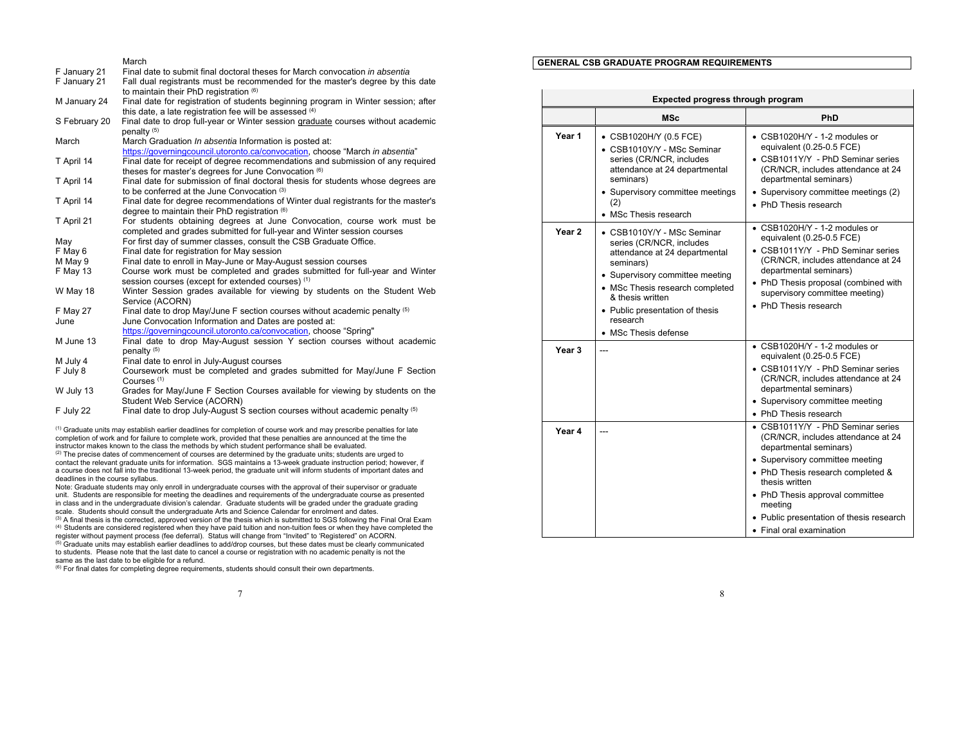|               | March                                                                              |
|---------------|------------------------------------------------------------------------------------|
| F January 21  | Final date to submit final doctoral theses for March convocation in absentia       |
| F January 21  | Fall dual registrants must be recommended for the master's degree by this date     |
|               | to maintain their PhD registration (6)                                             |
| M January 24  | Final date for registration of students beginning program in Winter session; after |
|               | this date, a late registration fee will be assessed (4)                            |
| S February 20 | Final date to drop full-year or Winter session graduate courses without academic   |
|               | penalty <sup>(5)</sup>                                                             |
| March         | March Graduation In absentia Information is posted at:                             |
|               | https://governingcouncil.utoronto.ca/convocation, choose "March in absentia"       |
| T April 14    | Final date for receipt of degree recommendations and submission of any required    |
|               | theses for master's degrees for June Convocation (6)                               |
| T April 14    | Final date for submission of final doctoral thesis for students whose degrees are  |
|               | to be conferred at the June Convocation (3)                                        |
| T April 14    | Final date for degree recommendations of Winter dual registrants for the master's  |
|               | degree to maintain their PhD registration (6)                                      |
| T April 21    | For students obtaining degrees at June Convocation, course work must be            |
|               | completed and grades submitted for full-year and Winter session courses            |
| May           | For first day of summer classes, consult the CSB Graduate Office.                  |
| F May 6       | Final date for registration for May session                                        |
| M May 9       | Final date to enroll in May-June or May-August session courses                     |
| F May 13      | Course work must be completed and grades submitted for full-year and Winter        |
|               | session courses (except for extended courses) (1)                                  |
| W May 18      | Winter Session grades available for viewing by students on the Student Web         |
|               | Service (ACORN)                                                                    |
| F May 27      | Final date to drop May/June F section courses without academic penalty (5)         |
| June          | June Convocation Information and Dates are posted at:                              |
|               | https://governingcouncil.utoronto.ca/convocation, choose "Spring"                  |
| M June 13     | Final date to drop May-August session Y section courses without academic           |
|               | penalty $(5)$                                                                      |
| M July 4      | Final date to enrol in July-August courses                                         |
| F July 8      | Coursework must be completed and grades submitted for May/June F Section           |
|               | Courses $(1)$                                                                      |
| W July 13     | Grades for May/June F Section Courses available for viewing by students on the     |
|               | Student Web Service (ACORN)                                                        |
| F July 22     | Final date to drop July-August S section courses without academic penalty (5)      |

(1) Graduate units may establish earlier deadlines for completion of course work and may prescribe penalties for late completion of work and for failure to complete work, provided that these penalties are announced at the time the instructor makes known to the class the methods by which student performance shall be evaluated. (2) The precise dates of commencement of courses are determined by the graduate units; students are urged to contact the relevant graduate units for information. SGS maintains a 13-week graduate instruction period; however, if a course does not fall into the traditional 13-week period, the graduate unit will inform students of important dates and deadlines in the course syllabus.

Note: Graduate students may only enroll in undergraduate courses with the approval of their supervisor or graduate unit. Students are responsible for meeting the deadlines and requirements of the undergraduate course as presented in class and in the undergraduate division's calendar. Graduate students will be graded under the graduate grading scale. Students should consult the undergraduate Arts and Science Calendar for enrolment and dates.

<sup>(3)</sup> A final thesis is the corrected, approved version of the thesis which is submitted to SGS following the Final Oral Exam (4) Students are considered registered when they have paid tuition and non-tuition fees or when they have completed the register without payment process (fee deferral). Status will change from "Invited" to 'Registered" on ACORN. (5) Graduate units may establish earlier deadlines to add/drop courses, but these dates must be clearly communicated to students. Please note that the last date to cancel a course or registration with no academic penalty is not the same as the last date to be eligible for a refund.

 $<sup>(6)</sup>$  For final dates for completing degree requirements, students should consult their own departments.</sup>

#### 7

### **GENERAL CSB GRADUATE PROGRAM REQUIREMENTS**

|                   | Expected progress through program                                                                                                                                                                                                                                     |                                                                                                                                                                                                                                                                                                                   |
|-------------------|-----------------------------------------------------------------------------------------------------------------------------------------------------------------------------------------------------------------------------------------------------------------------|-------------------------------------------------------------------------------------------------------------------------------------------------------------------------------------------------------------------------------------------------------------------------------------------------------------------|
|                   | MSc                                                                                                                                                                                                                                                                   | PhD                                                                                                                                                                                                                                                                                                               |
| Year 1            | • CSB1020H/Y (0.5 FCE)<br>• CSB1010Y/Y - MSc Seminar<br>series (CR/NCR, includes<br>attendance at 24 departmental<br>seminars)<br>• Supervisory committee meetings<br>(2)<br>• MSc Thesis research                                                                    | $\bullet$ CSB1020H/Y - 1-2 modules or<br>equivalent (0.25-0.5 FCE)<br>• CSB1011Y/Y - PhD Seminar series<br>(CR/NCR, includes attendance at 24<br>departmental seminars)<br>• Supervisory committee meetings (2)<br>• PhD Thesis research                                                                          |
| Year <sub>2</sub> | • CSB1010Y/Y - MSc Seminar<br>series (CR/NCR, includes<br>attendance at 24 departmental<br>seminars)<br>• Supervisory committee meeting<br>• MSc Thesis research completed<br>& thesis written<br>• Public presentation of thesis<br>research<br>• MSc Thesis defense | • CSB1020H/Y - 1-2 modules or<br>equivalent (0.25-0.5 FCE)<br>• CSB1011Y/Y - PhD Seminar series<br>(CR/NCR, includes attendance at 24<br>departmental seminars)<br>• PhD Thesis proposal (combined with<br>supervisory committee meeting)<br>• PhD Thesis research                                                |
| Year <sub>3</sub> |                                                                                                                                                                                                                                                                       | • CSB1020H/Y - 1-2 modules or<br>equivalent (0.25-0.5 FCE)<br>• CSB1011Y/Y - PhD Seminar series<br>(CR/NCR, includes attendance at 24<br>departmental seminars)<br>• Supervisory committee meeting<br>• PhD Thesis research                                                                                       |
| Year 4            |                                                                                                                                                                                                                                                                       | • CSB1011Y/Y - PhD Seminar series<br>(CR/NCR, includes attendance at 24<br>departmental seminars)<br>• Supervisory committee meeting<br>• PhD Thesis research completed &<br>thesis written<br>• PhD Thesis approval committee<br>meeting<br>• Public presentation of thesis research<br>• Final oral examination |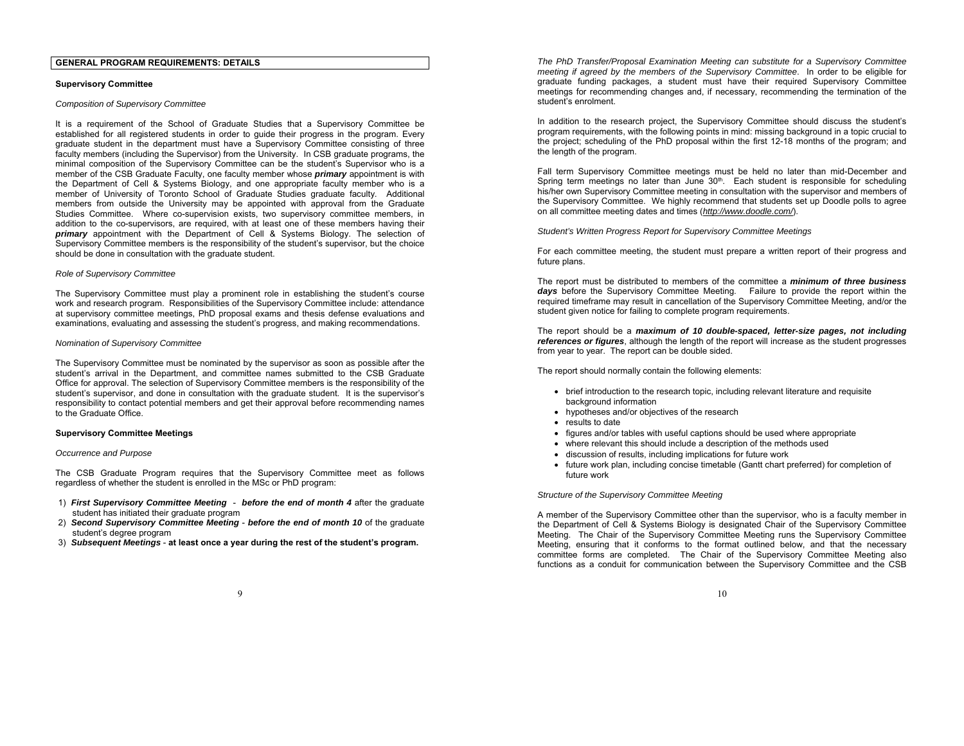## **GENERAL PROGRAM REQUIREMENTS: DETAILS**

### **Supervisory Committee**

#### *Composition of Supervisory Committee*

It is a requirement of the School of Graduate Studies that a Supervisory Committee be established for all registered students in order to guide their progress in the program. Every graduate student in the department must have a Supervisory Committee consisting of three faculty members (including the Supervisor) from the University. In CSB graduate programs, the minimal composition of the Supervisory Committee can be the student's Supervisor who is a member of the CSB Graduate Faculty, one faculty member whose *primary* appointment is with the Department of Cell & Systems Biology, and one appropriate faculty member who is a member of University of Toronto School of Graduate Studies graduate faculty. Additional members from outside the University may be appointed with approval from the Graduate Studies Committee. Where co-supervision exists, two supervisory committee members, in addition to the co-supervisors, are required, with at least one of these members having their *primary* appointment with the Department of Cell & Systems Biology. The selection of Supervisory Committee members is the responsibility of the student's supervisor, but the choice should be done in consultation with the graduate student.

#### *Role of Supervisory Committee*

The Supervisory Committee must play a prominent role in establishing the student's course work and research program. Responsibilities of the Supervisory Committee include: attendance at supervisory committee meetings, PhD proposal exams and thesis defense evaluations and examinations, evaluating and assessing the student's progress, and making recommendations.

#### *Nomination of Supervisory Committee*

The Supervisory Committee must be nominated by the supervisor as soon as possible after the student's arrival in the Department, and committee names submitted to the CSB Graduate Office for approval. The selection of Supervisory Committee members is the responsibility of the student's supervisor, and done in consultation with the graduate student. It is the supervisor's responsibility to contact potential members and get their approval before recommending names to the Graduate Office.

### **Supervisory Committee Meetings**

### *Occurrence and Purpose*

The CSB Graduate Program requires that the Supervisory Committee meet as follows regardless of whether the student is enrolled in the MSc or PhD program:

- 1) *First Supervisory Committee Meeting before the end of month 4* after the graduate student has initiated their graduate program
- 2) *Second Supervisory Committee Meeting before the end of month 10* of the graduate student's degree program
- 3) *Subsequent Meetings* **at least once a year during the rest of the student's program.**

*The PhD Transfer/Proposal Examination Meeting can substitute for a Supervisory Committee meeting if agreed by the members of the Supervisory Committee*. In order to be eligible for graduate funding packages, a student must have their required Supervisory Committee meetings for recommending changes and, if necessary, recommending the termination of the student's enrolment.

In addition to the research project, the Supervisory Committee should discuss the student's program requirements, with the following points in mind: missing background in a topic crucial to the project; scheduling of the PhD proposal within the first 12-18 months of the program; and the length of the program.

Fall term Supervisory Committee meetings must be held no later than mid-December and Spring term meetings no later than June  $30<sup>th</sup>$ . Each student is responsible for scheduling his/her own Supervisory Committee meeting in consultation with the supervisor and members of the Supervisory Committee. We highly recommend that students set up Doodle polls to agree on all committee meeting dates and times (*http://www.doodle.com/*).

*Student's Written Progress Report for Supervisory Committee Meetings* 

For each committee meeting, the student must prepare a written report of their progress and future plans.

The report must be distributed to members of the committee a *minimum of three business days* before the Supervisory Committee Meeting. Failure to provide the report within the required timeframe may result in cancellation of the Supervisory Committee Meeting, and/or the student given notice for failing to complete program requirements.

The report should be a *maximum of 10 double-spaced, letter-size pages, not including references or figures*, although the length of the report will increase as the student progresses from year to year. The report can be double sided.

The report should normally contain the following elements:

- brief introduction to the research topic, including relevant literature and requisite background information
- hypotheses and/or objectives of the research
- results to date
- figures and/or tables with useful captions should be used where appropriate
- where relevant this should include a description of the methods used
- discussion of results, including implications for future work
- future work plan, including concise timetable (Gantt chart preferred) for completion of future work

### *Structure of the Supervisory Committee Meeting*

A member of the Supervisory Committee other than the supervisor, who is a faculty member in the Department of Cell & Systems Biology is designated Chair of the Supervisory Committee Meeting. The Chair of the Supervisory Committee Meeting runs the Supervisory Committee Meeting, ensuring that it conforms to the format outlined below, and that the necessary committee forms are completed. The Chair of the Supervisory Committee Meeting also functions as a conduit for communication between the Supervisory Committee and the CSB

9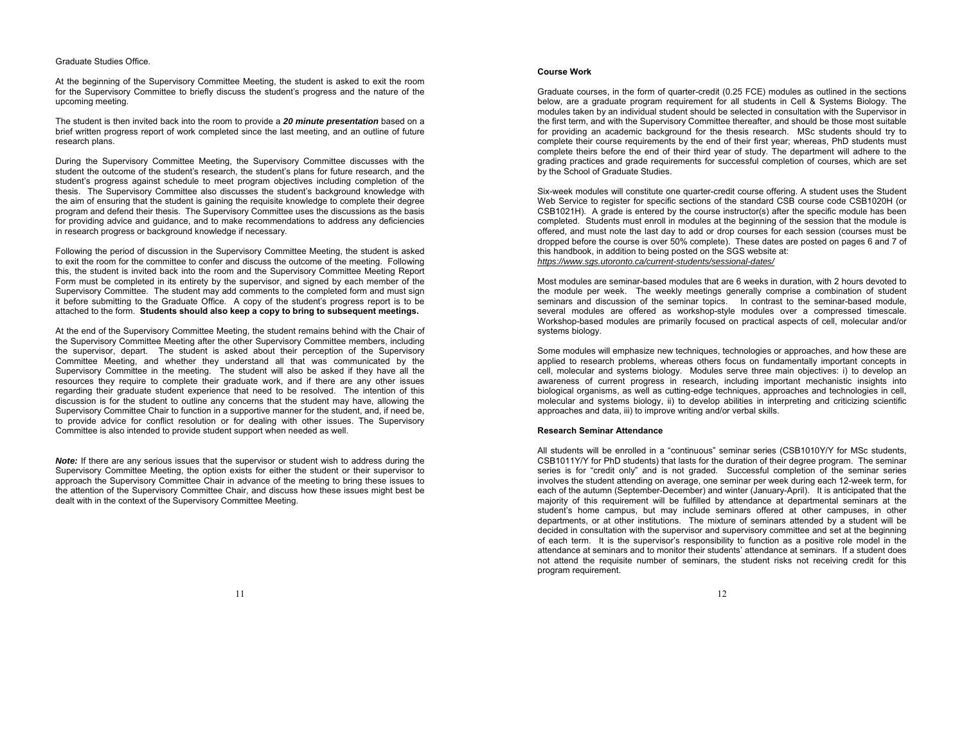### Graduate Studies Office.

At the beginning of the Supervisory Committee Meeting, the student is asked to exit the room for the Supervisory Committee to briefly discuss the student's progress and the nature of the upcoming meeting.

The student is then invited back into the room to provide a *20 minute presentation* based on a brief written progress report of work completed since the last meeting, and an outline of future research plans.

During the Supervisory Committee Meeting, the Supervisory Committee discusses with the student the outcome of the student's research, the student's plans for future research, and the student's progress against schedule to meet program objectives including completion of the thesis. The Supervisory Committee also discusses the student's background knowledge with the aim of ensuring that the student is gaining the requisite knowledge to complete their degree program and defend their thesis. The Supervisory Committee uses the discussions as the basis for providing advice and guidance, and to make recommendations to address any deficiencies in research progress or background knowledge if necessary.

Following the period of discussion in the Supervisory Committee Meeting, the student is asked to exit the room for the committee to confer and discuss the outcome of the meeting. Following this, the student is invited back into the room and the Supervisory Committee Meeting Report Form must be completed in its entirety by the supervisor, and signed by each member of the Supervisory Committee. The student may add comments to the completed form and must sign it before submitting to the Graduate Office. A copy of the student's progress report is to be attached to the form. **Students should also keep a copy to bring to subsequent meetings.** 

At the end of the Supervisory Committee Meeting, the student remains behind with the Chair of the Supervisory Committee Meeting after the other Supervisory Committee members, including the supervisor, depart. The student is asked about their perception of the Supervisory Committee Meeting, and whether they understand all that was communicated by the Supervisory Committee in the meeting. The student will also be asked if they have all the resources they require to complete their graduate work, and if there are any other issues regarding their graduate student experience that need to be resolved. The intention of this discussion is for the student to outline any concerns that the student may have, allowing the Supervisory Committee Chair to function in a supportive manner for the student, and, if need be, to provide advice for conflict resolution or for dealing with other issues. The Supervisory Committee is also intended to provide student support when needed as well.

*Note:* If there are any serious issues that the supervisor or student wish to address during the Supervisory Committee Meeting, the option exists for either the student or their supervisor to approach the Supervisory Committee Chair in advance of the meeting to bring these issues to the attention of the Supervisory Committee Chair, and discuss how these issues might best be dealt with in the context of the Supervisory Committee Meeting.

### **Course Work**

Graduate courses, in the form of quarter-credit (0.25 FCE) modules as outlined in the sections below, are a graduate program requirement for all students in Cell & Systems Biology. The modules taken by an individual student should be selected in consultation with the Supervisor in the first term, and with the Supervisory Committee thereafter, and should be those most suitable for providing an academic background for the thesis research. MSc students should try to complete their course requirements by the end of their first year; whereas, PhD students must complete theirs before the end of their third year of study. The department will adhere to the grading practices and grade requirements for successful completion of courses, which are set by the School of Graduate Studies.

Six-week modules will constitute one quarter-credit course offering. A student uses the Student Web Service to register for specific sections of the standard CSB course code CSB1020H (or CSB1021H). A grade is entered by the course instructor(s) after the specific module has been completed. Students must enroll in modules at the beginning of the session that the module is offered, and must note the last day to add or drop courses for each session (courses must be dropped before the course is over 50% complete). These dates are posted on pages 6 and 7 of this handbook, in addition to being posted on the SGS website at: *https://www.sgs.utoronto.ca/current-students/sessional-dates/* 

Most modules are seminar-based modules that are 6 weeks in duration, with 2 hours devoted to the module per week. The weekly meetings generally comprise a combination of student seminars and discussion of the seminar topics. In contrast to the seminar-based module, several modules are offered as workshop-style modules over a compressed timescale. Workshop-based modules are primarily focused on practical aspects of cell, molecular and/or systems biology.

Some modules will emphasize new techniques, technologies or approaches, and how these are applied to research problems, whereas others focus on fundamentally important concepts in cell, molecular and systems biology. Modules serve three main objectives: i) to develop an awareness of current progress in research, including important mechanistic insights into biological organisms, as well as cutting-edge techniques, approaches and technologies in cell, molecular and systems biology, ii) to develop abilities in interpreting and criticizing scientific approaches and data, iii) to improve writing and/or verbal skills.

### **Research Seminar Attendance**

All students will be enrolled in a "continuous" seminar series (CSB1010Y/Y for MSc students, CSB1011Y/Y for PhD students) that lasts for the duration of their degree program. The seminar series is for "credit only" and is not graded. Successful completion of the seminar series involves the student attending on average, one seminar per week during each 12-week term, for each of the autumn (September-December) and winter (January-April). It is anticipated that the majority of this requirement will be fulfilled by attendance at departmental seminars at the student's home campus, but may include seminars offered at other campuses, in other departments, or at other institutions. The mixture of seminars attended by a student will be decided in consultation with the supervisor and supervisory committee and set at the beginning of each term. It is the supervisor's responsibility to function as a positive role model in the attendance at seminars and to monitor their students' attendance at seminars. If a student does not attend the requisite number of seminars, the student risks not receiving credit for this program requirement.

12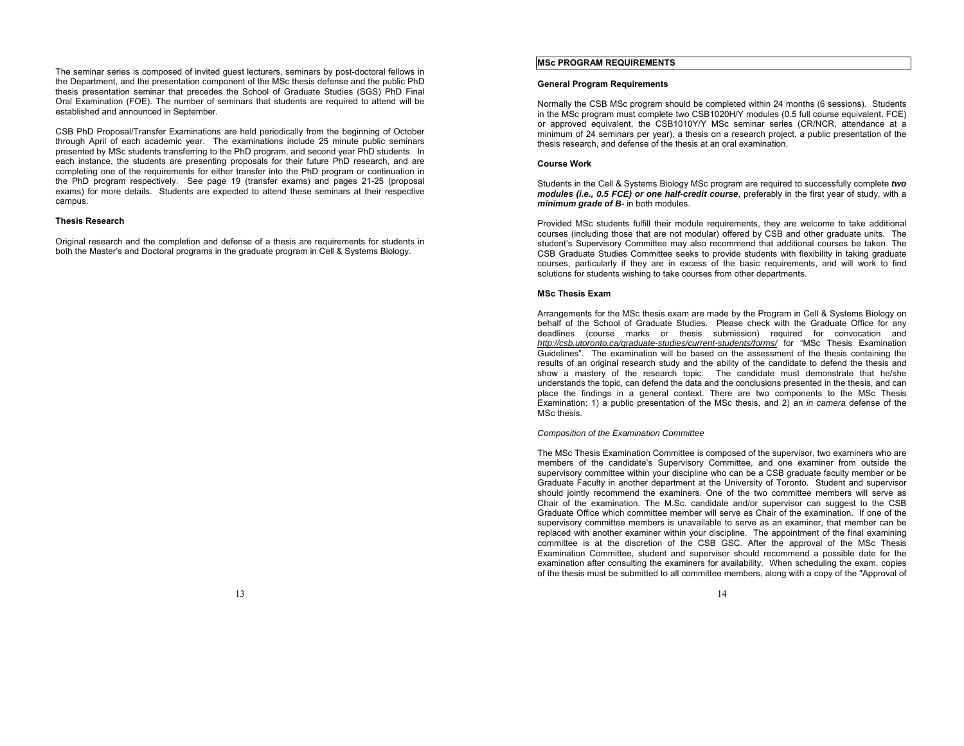The seminar series is composed of invited guest lecturers, seminars by post-doctoral fellows in the Department, and the presentation component of the MSc thesis defense and the public PhD thesis presentation seminar that precedes the School of Graduate Studies (SGS) PhD Final Oral Examination (FOE). The number of seminars that students are required to attend will be established and announced in September.

CSB PhD Proposal/Transfer Examinations are held periodically from the beginning of October through April of each academic year. The examinations include 25 minute public seminars presented by MSc students transferring to the PhD program, and second year PhD students. In each instance, the students are presenting proposals for their future PhD research, and are completing one of the requirements for either transfer into the PhD program or continuation in the PhD program respectively. See page 19 (transfer exams) and pages 21-25 (proposal exams) for more details. Students are expected to attend these seminars at their respective campus.

### **Thesis Research**

Original research and the completion and defense of a thesis are requirements for students in both the Master's and Doctoral programs in the graduate program in Cell & Systems Biology.

# **MSc PROGRAM REQUIREMENTS**

### **General Program Requirements**

Normally the CSB MSc program should be completed within 24 months (6 sessions). Students in the MSc program must complete two CSB1020H/Y modules (0.5 full course equivalent, FCE) or approved equivalent, the CSB1010Y/Y MSc seminar series (CR/NCR, attendance at a minimum of 24 seminars per year), a thesis on a research project, a public presentation of the thesis research, and defense of the thesis at an oral examination.

### **Course Work**

Students in the Cell & Systems Biology MSc program are required to successfully complete *two modules (i.e., 0.5 FCE) or one half-credit course*, preferably in the first year of study, with a *minimum grade of B-* in both modules.

Provided MSc students fulfill their module requirements, they are welcome to take additional courses (including those that are not modular) offered by CSB and other graduate units. The student's Supervisory Committee may also recommend that additional courses be taken. The CSB Graduate Studies Committee seeks to provide students with flexibility in taking graduate courses, particularly if they are in excess of the basic requirements, and will work to find solutions for students wishing to take courses from other departments.

#### **MSc Thesis Exam**

Arrangements for the MSc thesis exam are made by the Program in Cell & Systems Biology on behalf of the School of Graduate Studies. Please check with the Graduate Office for any deadlines (course marks or thesis submission) required for convocation and *http://csb.utoronto.ca/graduate-studies/current-students/forms/* for "MSc Thesis Examination Guidelines". The examination will be based on the assessment of the thesis containing the results of an original research study and the ability of the candidate to defend the thesis and show a mastery of the research topic. The candidate must demonstrate that he/she understands the topic, can defend the data and the conclusions presented in the thesis, and can place the findings in a general context. There are two components to the MSc Thesis Examination: 1) a public presentation of the MSc thesis, and 2) an *in camera* defense of the MSc thesis.

### *Composition of the Examination Committee*

The MSc Thesis Examination Committee is composed of the supervisor, two examiners who are members of the candidate's Supervisory Committee, and one examiner from outside the supervisory committee within your discipline who can be a CSB graduate faculty member or be Graduate Faculty in another department at the University of Toronto. Student and supervisor should jointly recommend the examiners. One of the two committee members will serve as Chair of the examination. The M.Sc. candidate and/or supervisor can suggest to the CSB Graduate Office which committee member will serve as Chair of the examination. If one of the supervisory committee members is unavailable to serve as an examiner, that member can be replaced with another examiner within your discipline. The appointment of the final examining committee is at the discretion of the CSB GSC. After the approval of the MSc Thesis Examination Committee, student and supervisor should recommend a possible date for the examination after consulting the examiners for availability. When scheduling the exam, copies of the thesis must be submitted to all committee members, along with a copy of the "Approval of

13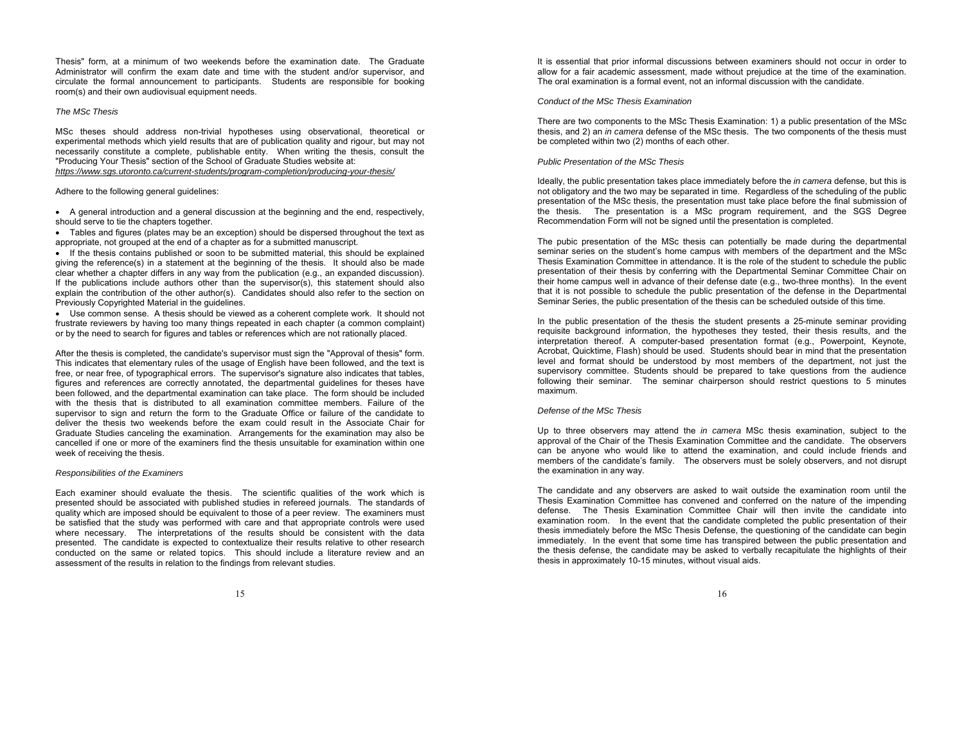Thesis" form, at a minimum of two weekends before the examination date. The Graduate Administrator will confirm the exam date and time with the student and/or supervisor, and circulate the formal announcement to participants. Students are responsible for booking room(s) and their own audiovisual equipment needs.

### *The MSc Thesis*

MSc theses should address non-trivial hypotheses using observational, theoretical or experimental methods which yield results that are of publication quality and rigour, but may not necessarily constitute a complete, publishable entity. When writing the thesis, consult the "Producing Your Thesis" section of the School of Graduate Studies website at: *https://www.sgs.utoronto.ca/current-students/program-completion/producing-your-thesis/* 

Adhere to the following general guidelines:

 A general introduction and a general discussion at the beginning and the end, respectively, should serve to tie the chapters together.

 Tables and figures (plates may be an exception) should be dispersed throughout the text as appropriate, not grouped at the end of a chapter as for a submitted manuscript.

 If the thesis contains published or soon to be submitted material, this should be explained giving the reference(s) in a statement at the beginning of the thesis. It should also be made clear whether a chapter differs in any way from the publication (e.g., an expanded discussion). If the publications include authors other than the supervisor(s), this statement should also explain the contribution of the other author(s). Candidates should also refer to the section on Previously Copyrighted Material in the guidelines.

 Use common sense. A thesis should be viewed as a coherent complete work. It should not frustrate reviewers by having too many things repeated in each chapter (a common complaint) or by the need to search for figures and tables or references which are not rationally placed.

After the thesis is completed, the candidate's supervisor must sign the "Approval of thesis" form. This indicates that elementary rules of the usage of English have been followed, and the text is free, or near free, of typographical errors. The supervisor's signature also indicates that tables, figures and references are correctly annotated, the departmental guidelines for theses have been followed, and the departmental examination can take place. The form should be included with the thesis that is distributed to all examination committee members. Failure of the supervisor to sign and return the form to the Graduate Office or failure of the candidate to deliver the thesis two weekends before the exam could result in the Associate Chair for Graduate Studies canceling the examination. Arrangements for the examination may also be cancelled if one or more of the examiners find the thesis unsuitable for examination within one week of receiving the thesis.

### *Responsibilities of the Examiners*

Each examiner should evaluate the thesis. The scientific qualities of the work which is presented should be associated with published studies in refereed journals. The standards of quality which are imposed should be equivalent to those of a peer review. The examiners must be satisfied that the study was performed with care and that appropriate controls were used where necessary. The interpretations of the results should be consistent with the data presented. The candidate is expected to contextualize their results relative to other research conducted on the same or related topics. This should include a literature review and an assessment of the results in relation to the findings from relevant studies.

It is essential that prior informal discussions between examiners should not occur in order to allow for a fair academic assessment, made without prejudice at the time of the examination. The oral examination is a formal event, not an informal discussion with the candidate.

#### *Conduct of the MSc Thesis Examination*

There are two components to the MSc Thesis Examination: 1) a public presentation of the MSc thesis, and 2) an *in camera* defense of the MSc thesis. The two components of the thesis must be completed within two (2) months of each other.

#### *Public Presentation of the MSc Thesis*

Ideally, the public presentation takes place immediately before the *in camera* defense, but this is not obligatory and the two may be separated in time. Regardless of the scheduling of the public presentation of the MSc thesis, the presentation must take place before the final submission of the thesis. The presentation is a MSc program requirement, and the SGS Degree Recommendation Form will not be signed until the presentation is completed.

The pubic presentation of the MSc thesis can potentially be made during the departmental seminar series on the student's home campus with members of the department and the MSc Thesis Examination Committee in attendance. It is the role of the student to schedule the public presentation of their thesis by conferring with the Departmental Seminar Committee Chair on their home campus well in advance of their defense date (e.g., two-three months). In the event that it is not possible to schedule the public presentation of the defense in the Departmental Seminar Series, the public presentation of the thesis can be scheduled outside of this time.

In the public presentation of the thesis the student presents a 25-minute seminar providing requisite background information, the hypotheses they tested, their thesis results, and the interpretation thereof. A computer-based presentation format (e.g., Powerpoint, Keynote, Acrobat, Quicktime, Flash) should be used. Students should bear in mind that the presentation level and format should be understood by most members of the department, not just the supervisory committee. Students should be prepared to take questions from the audience following their seminar. The seminar chairperson should restrict questions to 5 minutes maximum.

## *Defense of the MSc Thesis*

Up to three observers may attend the *in camera* MSc thesis examination, subject to the approval of the Chair of the Thesis Examination Committee and the candidate. The observers can be anyone who would like to attend the examination, and could include friends and members of the candidate's family. The observers must be solely observers, and not disrupt the examination in any way.

The candidate and any observers are asked to wait outside the examination room until the Thesis Examination Committee has convened and conferred on the nature of the impending defense. The Thesis Examination Committee Chair will then invite the candidate into examination room. In the event that the candidate completed the public presentation of their thesis immediately before the MSc Thesis Defense, the questioning of the candidate can begin immediately. In the event that some time has transpired between the public presentation and the thesis defense, the candidate may be asked to verbally recapitulate the highlights of their thesis in approximately 10-15 minutes, without visual aids.

15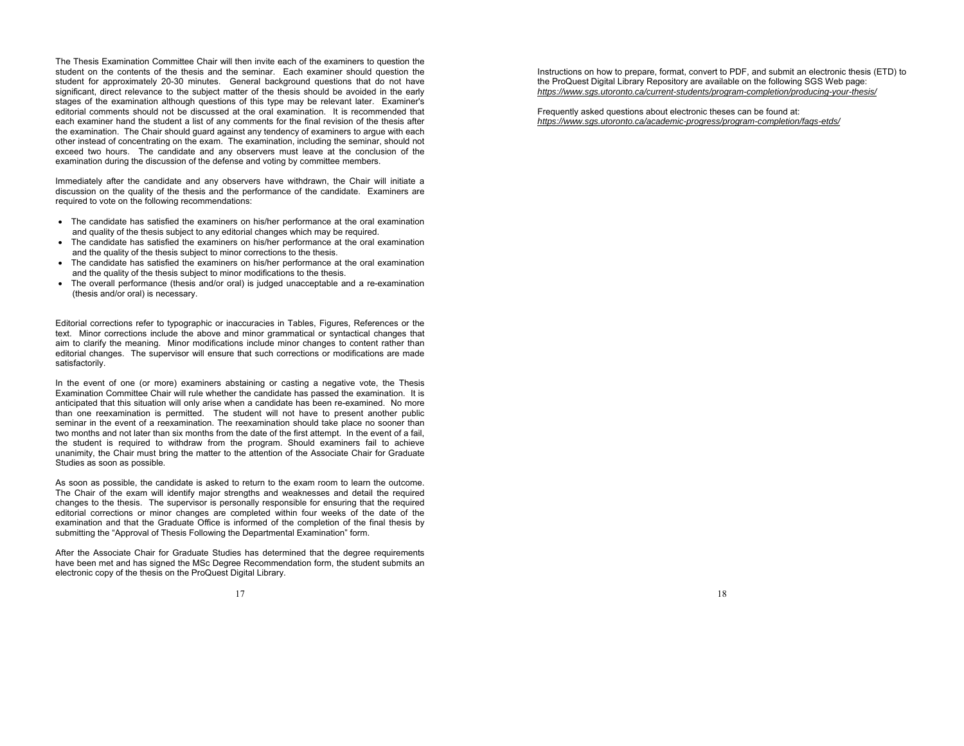The Thesis Examination Committee Chair will then invite each of the examiners to question the student on the contents of the thesis and the seminar. Each examiner should question the student for approximately 20-30 minutes. General background questions that do not have significant, direct relevance to the subject matter of the thesis should be avoided in the early stages of the examination although questions of this type may be relevant later. Examiner's editorial comments should not be discussed at the oral examination. It is recommended that each examiner hand the student a list of any comments for the final revision of the thesis after the examination. The Chair should guard against any tendency of examiners to argue with each other instead of concentrating on the exam. The examination, including the seminar, should not exceed two hours. The candidate and any observers must leave at the conclusion of the examination during the discussion of the defense and voting by committee members.

Immediately after the candidate and any observers have withdrawn, the Chair will initiate a discussion on the quality of the thesis and the performance of the candidate. Examiners are required to vote on the following recommendations:

- The candidate has satisfied the examiners on his/her performance at the oral examination and quality of the thesis subject to any editorial changes which may be required.
- The candidate has satisfied the examiners on his/her performance at the oral examination and the quality of the thesis subject to minor corrections to the thesis.
- The candidate has satisfied the examiners on his/her performance at the oral examination and the quality of the thesis subject to minor modifications to the thesis.
- The overall performance (thesis and/or oral) is judged unacceptable and a re-examination (thesis and/or oral) is necessary.

Editorial corrections refer to typographic or inaccuracies in Tables, Figures, References or the text. Minor corrections include the above and minor grammatical or syntactical changes that aim to clarify the meaning. Minor modifications include minor changes to content rather than editorial changes. The supervisor will ensure that such corrections or modifications are made satisfactorily.

In the event of one (or more) examiners abstaining or casting a negative vote, the Thesis Examination Committee Chair will rule whether the candidate has passed the examination. It is anticipated that this situation will only arise when a candidate has been re-examined. No more than one reexamination is permitted. The student will not have to present another public seminar in the event of a reexamination. The reexamination should take place no sooner than two months and not later than six months from the date of the first attempt. In the event of a fail, the student is required to withdraw from the program. Should examiners fail to achieve unanimity, the Chair must bring the matter to the attention of the Associate Chair for Graduate Studies as soon as possible.

As soon as possible, the candidate is asked to return to the exam room to learn the outcome. The Chair of the exam will identify major strengths and weaknesses and detail the required changes to the thesis. The supervisor is personally responsible for ensuring that the required editorial corrections or minor changes are completed within four weeks of the date of the examination and that the Graduate Office is informed of the completion of the final thesis by submitting the "Approval of Thesis Following the Departmental Examination" form.

After the Associate Chair for Graduate Studies has determined that the degree requirements have been met and has signed the MSc Degree Recommendation form, the student submits an electronic copy of the thesis on the ProQuest Digital Library.

Instructions on how to prepare, format, convert to PDF, and submit an electronic thesis (ETD) to the ProQuest Digital Library Repository are available on the following SGS Web page: *https://www.sgs.utoronto.ca/current-students/program-completion/producing-your-thesis/* 

18

Frequently asked questions about electronic theses can be found at: *https://www.sgs.utoronto.ca/academic-progress/program-completion/faqs-etds/*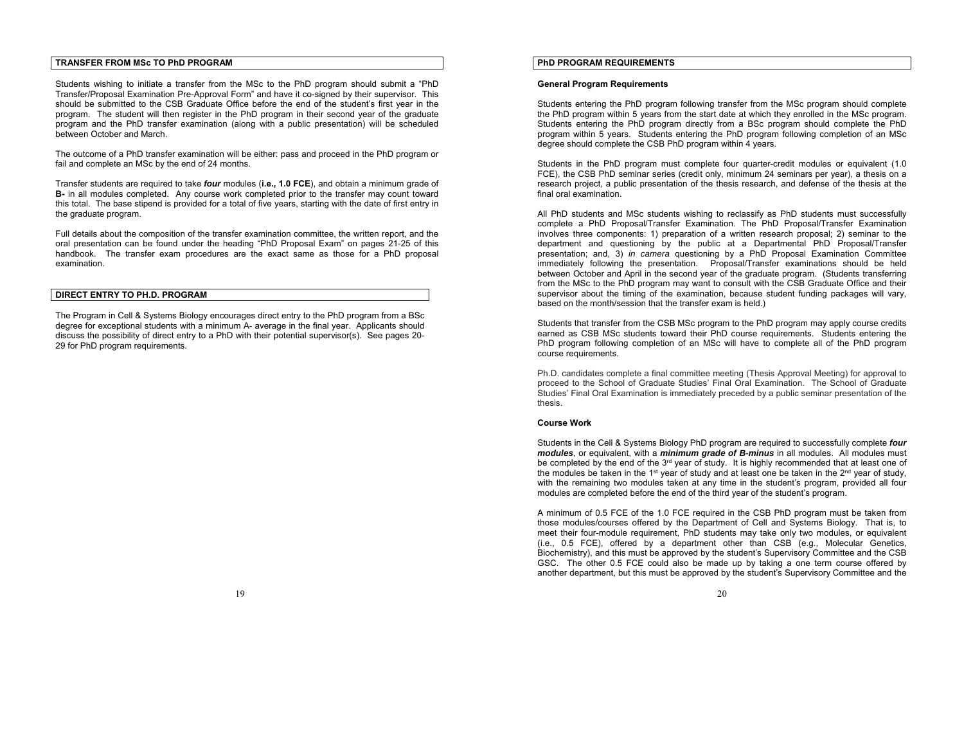## **TRANSFER FROM MSc TO PhD PROGRAM**

Students wishing to initiate a transfer from the MSc to the PhD program should submit a "PhD Transfer/Proposal Examination Pre-Approval Form" and have it co-signed by their supervisor. This should be submitted to the CSB Graduate Office before the end of the student's first year in the program. The student will then register in the PhD program in their second year of the graduate program and the PhD transfer examination (along with a public presentation) will be scheduled between October and March.

The outcome of a PhD transfer examination will be either: pass and proceed in the PhD program or fail and complete an MSc by the end of 24 months.

Transfer students are required to take *four* modules (**i.e., 1.0 FCE**), and obtain a minimum grade of **B-** in all modules completed. Any course work completed prior to the transfer may count toward this total. The base stipend is provided for a total of five years, starting with the date of first entry in the graduate program.

Full details about the composition of the transfer examination committee, the written report, and the oral presentation can be found under the heading "PhD Proposal Exam" on pages 21-25 of this handbook. The transfer exam procedures are the exact same as those for a PhD proposal examination.

## **DIRECT ENTRY TO PH.D. PROGRAM**

The Program in Cell & Systems Biology encourages direct entry to the PhD program from a BSc degree for exceptional students with a minimum A- average in the final year. Applicants should discuss the possibility of direct entry to a PhD with their potential supervisor(s). See pages 20- 29 for PhD program requirements.

## **PhD PROGRAM REQUIREMENTS**

### **General Program Requirements**

Students entering the PhD program following transfer from the MSc program should complete the PhD program within 5 years from the start date at which they enrolled in the MSc program. Students entering the PhD program directly from a BSc program should complete the PhD program within 5 years. Students entering the PhD program following completion of an MSc degree should complete the CSB PhD program within 4 years.

Students in the PhD program must complete four quarter-credit modules or equivalent (1.0 FCE), the CSB PhD seminar series (credit only, minimum 24 seminars per year), a thesis on a research project, a public presentation of the thesis research, and defense of the thesis at the final oral examination.

All PhD students and MSc students wishing to reclassify as PhD students must successfully complete a PhD Proposal/Transfer Examination. The PhD Proposal/Transfer Examination involves three components: 1) preparation of a written research proposal; 2) seminar to the department and questioning by the public at a Departmental PhD Proposal/Transfer presentation; and, 3) *in camera* questioning by a PhD Proposal Examination Committee immediately following the presentation. Proposal/Transfer examinations should be held between October and April in the second year of the graduate program. (Students transferring from the MSc to the PhD program may want to consult with the CSB Graduate Office and their supervisor about the timing of the examination, because student funding packages will vary, based on the month/session that the transfer exam is held.)

Students that transfer from the CSB MSc program to the PhD program may apply course credits earned as CSB MSc students toward their PhD course requirements. Students entering the PhD program following completion of an MSc will have to complete all of the PhD program course requirements.

Ph.D. candidates complete a final committee meeting (Thesis Approval Meeting) for approval to proceed to the School of Graduate Studies' Final Oral Examination. The School of Graduate Studies' Final Oral Examination is immediately preceded by a public seminar presentation of the thesis.

### **Course Work**

Students in the Cell & Systems Biology PhD program are required to successfully complete *four modules*, or equivalent, with a *minimum grade of B-minus* in all modules. All modules must be completed by the end of the 3<sup>rd</sup> year of study. It is highly recommended that at least one of the modules be taken in the 1<sup>st</sup> year of study and at least one be taken in the  $2<sup>nd</sup>$  year of study, with the remaining two modules taken at any time in the student's program, provided all four modules are completed before the end of the third year of the student's program.

A minimum of 0.5 FCE of the 1.0 FCE required in the CSB PhD program must be taken from those modules/courses offered by the Department of Cell and Systems Biology. That is, to meet their four-module requirement, PhD students may take only two modules, or equivalent (i.e., 0.5 FCE), offered by a department other than CSB (e.g., Molecular Genetics, Biochemistry), and this must be approved by the student's Supervisory Committee and the CSB GSC. The other 0.5 FCE could also be made up by taking a one term course offered by another department, but this must be approved by the student's Supervisory Committee and the

19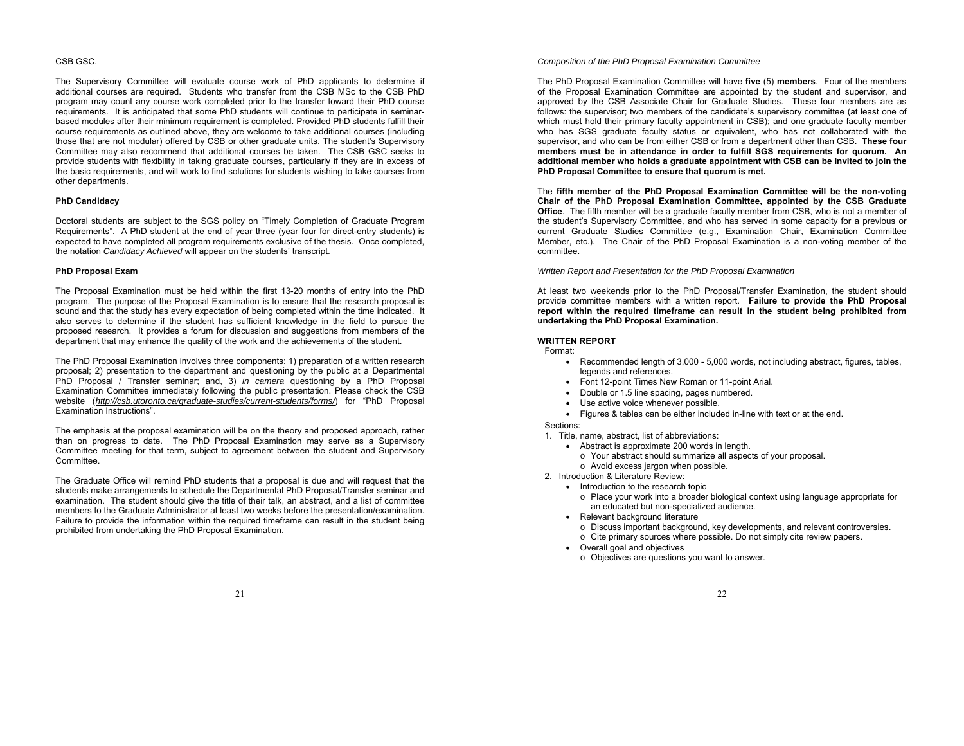### CSB GSC.

The Supervisory Committee will evaluate course work of PhD applicants to determine if additional courses are required. Students who transfer from the CSB MSc to the CSB PhD program may count any course work completed prior to the transfer toward their PhD course requirements. It is anticipated that some PhD students will continue to participate in seminarbased modules after their minimum requirement is completed. Provided PhD students fulfill their course requirements as outlined above, they are welcome to take additional courses (including those that are not modular) offered by CSB or other graduate units. The student's Supervisory Committee may also recommend that additional courses be taken. The CSB GSC seeks to provide students with flexibility in taking graduate courses, particularly if they are in excess of the basic requirements, and will work to find solutions for students wishing to take courses from other departments.

#### **PhD Candidacy**

Doctoral students are subject to the SGS policy on "Timely Completion of Graduate Program Requirements". A PhD student at the end of year three (year four for direct-entry students) is expected to have completed all program requirements exclusive of the thesis. Once completed, the notation *Candidacy Achieved* will appear on the students' transcript.

### **PhD Proposal Exam**

The Proposal Examination must be held within the first 13-20 months of entry into the PhD program. The purpose of the Proposal Examination is to ensure that the research proposal is sound and that the study has every expectation of being completed within the time indicated. It also serves to determine if the student has sufficient knowledge in the field to pursue the proposed research. It provides a forum for discussion and suggestions from members of the department that may enhance the quality of the work and the achievements of the student.

The PhD Proposal Examination involves three components: 1) preparation of a written research proposal; 2) presentation to the department and questioning by the public at a Departmental PhD Proposal / Transfer seminar; and, 3) *in camera* questioning by a PhD Proposal Examination Committee immediately following the public presentation. Please check the CSB website (*http://csb.utoronto.ca/graduate-studies/current-students/forms/*) for "PhD Proposal Examination Instructions".

The emphasis at the proposal examination will be on the theory and proposed approach, rather than on progress to date. The PhD Proposal Examination may serve as a Supervisory Committee meeting for that term, subject to agreement between the student and Supervisory **Committee.** 

The Graduate Office will remind PhD students that a proposal is due and will request that the students make arrangements to schedule the Departmental PhD Proposal/Transfer seminar and examination. The student should give the title of their talk, an abstract, and a list of committee members to the Graduate Administrator at least two weeks before the presentation/examination. Failure to provide the information within the required timeframe can result in the student being prohibited from undertaking the PhD Proposal Examination.

### *Composition of the PhD Proposal Examination Committee*

The PhD Proposal Examination Committee will have **five** (5) **members**. Four of the members of the Proposal Examination Committee are appointed by the student and supervisor, and approved by the CSB Associate Chair for Graduate Studies. These four members are as follows: the supervisor; two members of the candidate's supervisory committee (at least one of which must hold their primary faculty appointment in CSB); and one graduate faculty member who has SGS graduate faculty status or equivalent, who has not collaborated with the supervisor, and who can be from either CSB or from a department other than CSB. **These four members must be in attendance in order to fulfill SGS requirements for quorum. An additional member who holds a graduate appointment with CSB can be invited to join the PhD Proposal Committee to ensure that quorum is met.** 

The **fifth member of the PhD Proposal Examination Committee will be the non-voting Chair of the PhD Proposal Examination Committee, appointed by the CSB Graduate Office**. The fifth member will be a graduate faculty member from CSB, who is not a member of the student's Supervisory Committee, and who has served in some capacity for a previous or current Graduate Studies Committee (e.g., Examination Chair, Examination Committee Member, etc.). The Chair of the PhD Proposal Examination is a non-voting member of the committee.

*Written Report and Presentation for the PhD Proposal Examination* 

At least two weekends prior to the PhD Proposal/Transfer Examination, the student should provide committee members with a written report. **Failure to provide the PhD Proposal report within the required timeframe can result in the student being prohibited from undertaking the PhD Proposal Examination.**

## **WRITTEN REPORT**

Format:

- Recommended length of 3,000 5,000 words, not including abstract, figures, tables, legends and references.
- Font 12-point Times New Roman or 11-point Arial.
- Double or 1.5 line spacing, pages numbered.
- Use active voice whenever possible.
- Figures & tables can be either included in-line with text or at the end.
- Sections:

1. Title, name, abstract, list of abbreviations:

- Abstract is approximate 200 words in length.
	- <sup>o</sup> Your abstract should summarize all aspects of your proposal.
- <sup>o</sup> Avoid excess jargon when possible.
- 2. Introduction & Literature Review:
	- Introduction to the research topic
		- <sup>o</sup> Place your work into a broader biological context using language appropriate for an educated but non-specialized audience.
	- Relevant background literature
		- <sup>o</sup> Discuss important background, key developments, and relevant controversies.
		- <sup>o</sup> Cite primary sources where possible. Do not simply cite review papers.
	- Overall goal and objectives
		- o Objectives are questions you want to answer.

21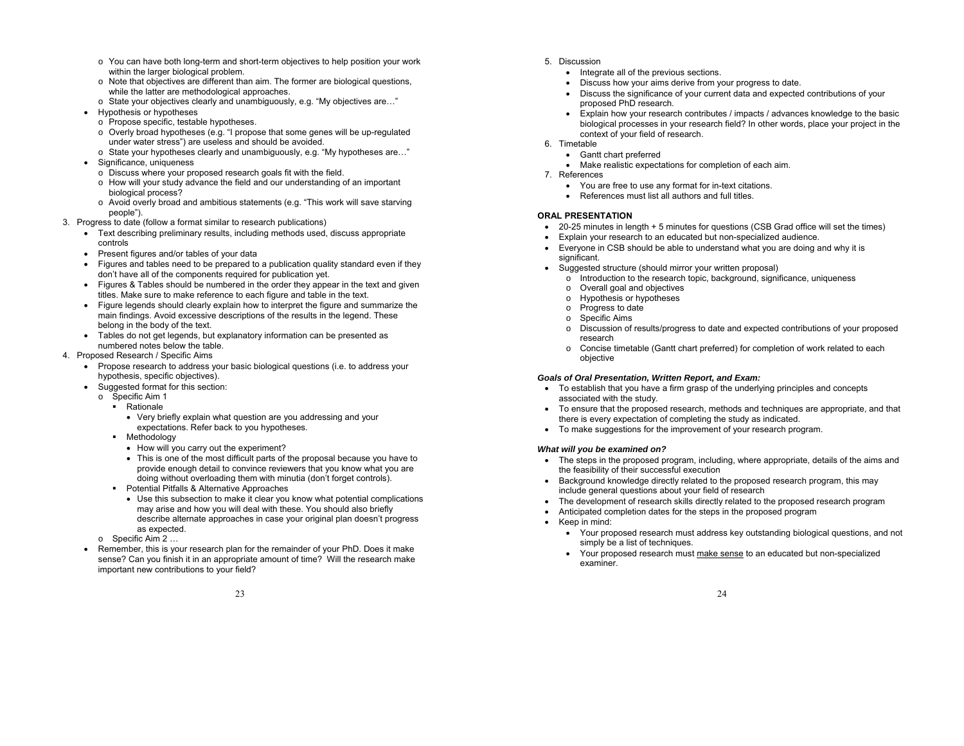- <sup>o</sup> You can have both long-term and short-term objectives to help position your work within the larger biological problem.
- $\circ$  Note that objectives are different than aim. The former are biological questions, while the latter are methodological approaches.
- <sup>o</sup> State your objectives clearly and unambiguously, e.g. "My objectives are…"
- Hypothesis or hypotheses
	- <sup>o</sup> Propose specific, testable hypotheses.
	- <sup>o</sup> Overly broad hypotheses (e.g. "I propose that some genes will be up-regulated under water stress") are useless and should be avoided.
	- <sup>o</sup> State your hypotheses clearly and unambiguously, e.g. "My hypotheses are…"
- Significance, uniqueness
	- <sup>o</sup> Discuss where your proposed research goals fit with the field.
	- <sup>o</sup> How will your study advance the field and our understanding of an important biological process?
	- <sup>o</sup> Avoid overly broad and ambitious statements (e.g. "This work will save starving people").
- 3. Progress to date (follow a format similar to research publications)
	- Text describing preliminary results, including methods used, discuss appropriate controls
	- Present figures and/or tables of your data
	- Figures and tables need to be prepared to a publication quality standard even if they don't have all of the components required for publication yet.
	- Figures & Tables should be numbered in the order they appear in the text and given titles. Make sure to make reference to each figure and table in the text.
	- Figure legends should clearly explain how to interpret the figure and summarize the main findings. Avoid excessive descriptions of the results in the legend. These belong in the body of the text.
	- Tables do not get legends, but explanatory information can be presented as numbered notes below the table.
- 4. Proposed Research / Specific Aims
	- Propose research to address your basic biological questions (i.e. to address your hypothesis, specific objectives).
		- Suggested format for this section:
		- <sup>o</sup> Specific Aim 1
			- **Rationale** 
				- Very briefly explain what question are you addressing and your expectations. Refer back to you hypotheses.
			- **•** Methodology
				- How will you carry out the experiment?
				- This is one of the most difficult parts of the proposal because you have to provide enough detail to convince reviewers that you know what you are doing without overloading them with minutia (don't forget controls).
			- **Potential Pitfalls & Alternative Approaches** 
				- Use this subsection to make it clear you know what potential complications may arise and how you will deal with these. You should also briefly describe alternate approaches in case your original plan doesn't progress as expected.
		- <sup>o</sup> Specific Aim 2 …
	- Remember, this is your research plan for the remainder of your PhD. Does it make sense? Can you finish it in an appropriate amount of time? Will the research make important new contributions to your field?
- 5. Discussion
	- Integrate all of the previous sections.
	- Discuss how your aims derive from your progress to date.
	- Discuss the significance of your current data and expected contributions of your proposed PhD research.
	- Explain how your research contributes / impacts / advances knowledge to the basic biological processes in your research field? In other words, place your project in the context of your field of research.
- 6. Timetable
	- Gantt chart preferred
	- Make realistic expectations for completion of each aim.
- 7. References
	- You are free to use any format for in-text citations.
	- References must list all authors and full titles.

## **ORAL PRESENTATION**

- 20-25 minutes in length + 5 minutes for questions (CSB Grad office will set the times)
- Explain your research to an educated but non-specialized audience.
- Everyone in CSB should be able to understand what you are doing and why it is significant.
- Suggested structure (should mirror your written proposal)
	- <sup>o</sup> Introduction to the research topic, background, significance, uniqueness
	- <sup>o</sup> Overall goal and objectives
	- <sup>o</sup> Hypothesis or hypotheses
	- <sup>o</sup> Progress to date
	- <sup>o</sup> Specific Aims
	- <sup>o</sup> Discussion of results/progress to date and expected contributions of your proposed research
	- <sup>o</sup> Concise timetable (Gantt chart preferred) for completion of work related to each objective

### *Goals of Oral Presentation, Written Report, and Exam:*

- To establish that you have a firm grasp of the underlying principles and concepts associated with the study.
- To ensure that the proposed research, methods and techniques are appropriate, and that there is every expectation of completing the study as indicated.
- To make suggestions for the improvement of your research program.

## *What will you be examined on?*

- The steps in the proposed program, including, where appropriate, details of the aims and the feasibility of their successful execution
- Background knowledge directly related to the proposed research program, this may include general questions about your field of research
- The development of research skills directly related to the proposed research program
- Anticipated completion dates for the steps in the proposed program
- Keep in mind:
	- Your proposed research must address key outstanding biological questions, and not simply be a list of techniques.
	- Your proposed research must make sense to an educated but non-specialized examiner.

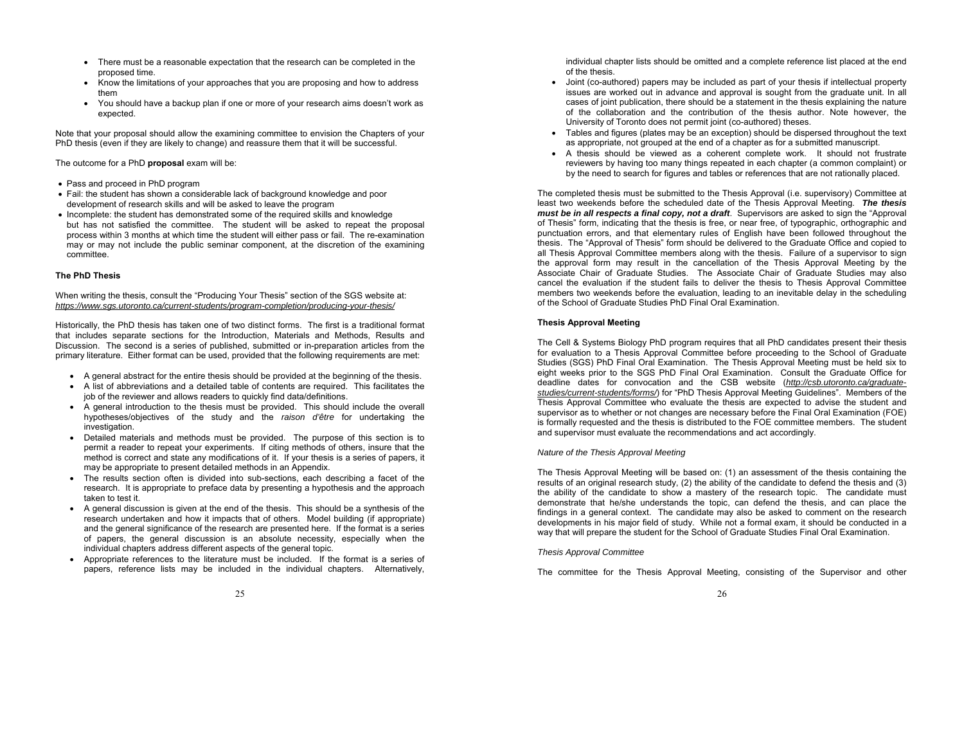- There must be a reasonable expectation that the research can be completed in the proposed time.
- Know the limitations of your approaches that you are proposing and how to address them
- You should have a backup plan if one or more of your research aims doesn't work as expected.

Note that your proposal should allow the examining committee to envision the Chapters of your PhD thesis (even if they are likely to change) and reassure them that it will be successful.

The outcome for a PhD **proposal** exam will be:

- Pass and proceed in PhD program
- Fail: the student has shown a considerable lack of background knowledge and poor development of research skills and will be asked to leave the program
- Incomplete: the student has demonstrated some of the required skills and knowledge but has not satisfied the committee. The student will be asked to repeat the proposal process within 3 months at which time the student will either pass or fail. The re-examination may or may not include the public seminar component, at the discretion of the examining committee.

### **The PhD Thesis**

When writing the thesis, consult the "Producing Your Thesis" section of the SGS website at: *https://www.sgs.utoronto.ca/current-students/program-completion/producing-your-thesis/* 

Historically, the PhD thesis has taken one of two distinct forms. The first is a traditional format that includes separate sections for the Introduction, Materials and Methods, Results and Discussion. The second is a series of published, submitted or in-preparation articles from the primary literature. Either format can be used, provided that the following requirements are met:

- A general abstract for the entire thesis should be provided at the beginning of the thesis.
- A list of abbreviations and a detailed table of contents are required. This facilitates the job of the reviewer and allows readers to quickly find data/definitions.
- A general introduction to the thesis must be provided. This should include the overall hypotheses/objectives of the study and the *raison d'être* for undertaking the investigation.
- Detailed materials and methods must be provided. The purpose of this section is to permit a reader to repeat your experiments. If citing methods of others, insure that the method is correct and state any modifications of it. If your thesis is a series of papers, it may be appropriate to present detailed methods in an Appendix.
- The results section often is divided into sub-sections, each describing a facet of the research. It is appropriate to preface data by presenting a hypothesis and the approach taken to test it.
- A general discussion is given at the end of the thesis. This should be a synthesis of the research undertaken and how it impacts that of others. Model building (if appropriate) and the general significance of the research are presented here. If the format is a series of papers, the general discussion is an absolute necessity, especially when the individual chapters address different aspects of the general topic.
- Appropriate references to the literature must be included. If the format is a series of papers, reference lists may be included in the individual chapters. Alternatively,

individual chapter lists should be omitted and a complete reference list placed at the end of the thesis.

- Joint (co-authored) papers may be included as part of your thesis if intellectual property issues are worked out in advance and approval is sought from the graduate unit. In all cases of joint publication, there should be a statement in the thesis explaining the nature of the collaboration and the contribution of the thesis author. Note however, the University of Toronto does not permit joint (co-authored) theses.
- Tables and figures (plates may be an exception) should be dispersed throughout the text as appropriate, not grouped at the end of a chapter as for a submitted manuscript.
- A thesis should be viewed as a coherent complete work. It should not frustrate reviewers by having too many things repeated in each chapter (a common complaint) or by the need to search for figures and tables or references that are not rationally placed.

The completed thesis must be submitted to the Thesis Approval (i.e. supervisory) Committee at least two weekends before the scheduled date of the Thesis Approval Meeting. *The thesis must be in all respects a final copy, not a draft*. Supervisors are asked to sign the "Approval of Thesis" form, indicating that the thesis is free, or near free, of typographic, orthographic and punctuation errors, and that elementary rules of English have been followed throughout the thesis. The "Approval of Thesis" form should be delivered to the Graduate Office and copied to all Thesis Approval Committee members along with the thesis. Failure of a supervisor to sign the approval form may result in the cancellation of the Thesis Approval Meeting by the Associate Chair of Graduate Studies. The Associate Chair of Graduate Studies may also cancel the evaluation if the student fails to deliver the thesis to Thesis Approval Committee members two weekends before the evaluation, leading to an inevitable delay in the scheduling of the School of Graduate Studies PhD Final Oral Examination.

### **Thesis Approval Meeting**

The Cell & Systems Biology PhD program requires that all PhD candidates present their thesis for evaluation to a Thesis Approval Committee before proceeding to the School of Graduate Studies (SGS) PhD Final Oral Examination. The Thesis Approval Meeting must be held six to eight weeks prior to the SGS PhD Final Oral Examination. Consult the Graduate Office for deadline dates for convocation and the CSB website (*http://csb.utoronto.ca/graduatestudies/current-students/forms/*) for "PhD Thesis Approval Meeting Guidelines". Members of the Thesis Approval Committee who evaluate the thesis are expected to advise the student and supervisor as to whether or not changes are necessary before the Final Oral Examination (FOE) is formally requested and the thesis is distributed to the FOE committee members. The student and supervisor must evaluate the recommendations and act accordingly.

### *Nature of the Thesis Approval Meeting*

The Thesis Approval Meeting will be based on: (1) an assessment of the thesis containing the results of an original research study, (2) the ability of the candidate to defend the thesis and (3) the ability of the candidate to show a mastery of the research topic. The candidate must demonstrate that he/she understands the topic, can defend the thesis, and can place the findings in a general context. The candidate may also be asked to comment on the research developments in his major field of study. While not a formal exam, it should be conducted in a way that will prepare the student for the School of Graduate Studies Final Oral Examination.

### *Thesis Approval Committee*

The committee for the Thesis Approval Meeting, consisting of the Supervisor and other

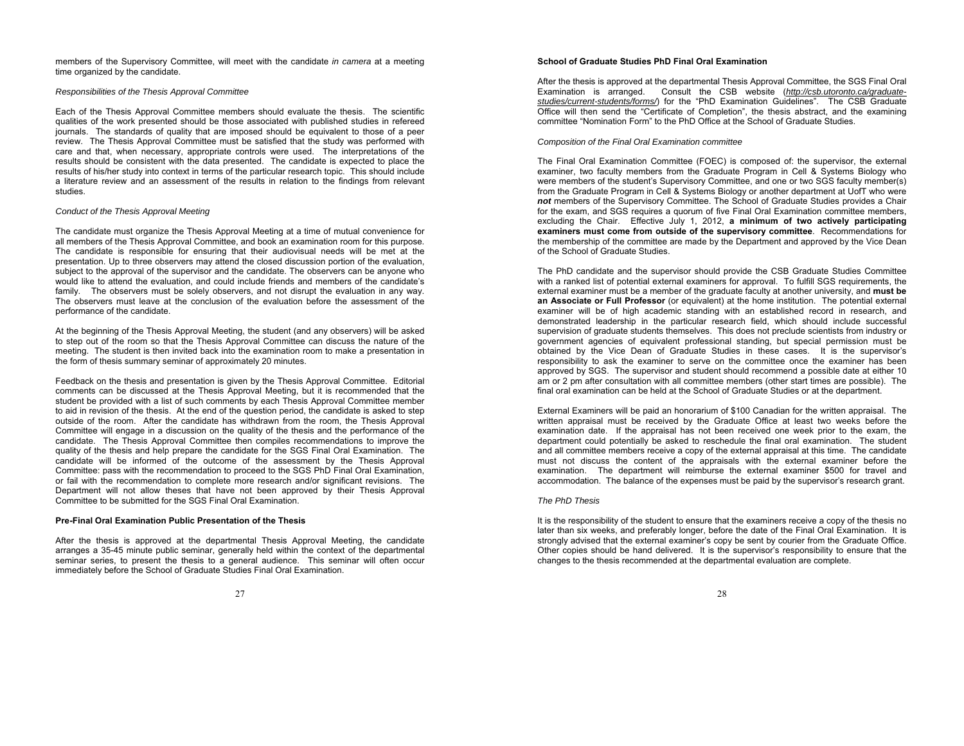members of the Supervisory Committee, will meet with the candidate *in camera* at a meeting time organized by the candidate.

#### *Responsibilities of the Thesis Approval Committee*

Each of the Thesis Approval Committee members should evaluate the thesis. The scientific qualities of the work presented should be those associated with published studies in refereed journals. The standards of quality that are imposed should be equivalent to those of a peer review. The Thesis Approval Committee must be satisfied that the study was performed with care and that, when necessary, appropriate controls were used. The interpretations of the results should be consistent with the data presented. The candidate is expected to place the results of his/her study into context in terms of the particular research topic. This should include a literature review and an assessment of the results in relation to the findings from relevant studies.

### *Conduct of the Thesis Approval Meeting*

The candidate must organize the Thesis Approval Meeting at a time of mutual convenience for all members of the Thesis Approval Committee, and book an examination room for this purpose. The candidate is responsible for ensuring that their audiovisual needs will be met at the presentation. Up to three observers may attend the closed discussion portion of the evaluation, subject to the approval of the supervisor and the candidate. The observers can be anyone who would like to attend the evaluation, and could include friends and members of the candidate's family. The observers must be solely observers, and not disrupt the evaluation in any way. The observers must leave at the conclusion of the evaluation before the assessment of the performance of the candidate.

At the beginning of the Thesis Approval Meeting, the student (and any observers) will be asked to step out of the room so that the Thesis Approval Committee can discuss the nature of the meeting. The student is then invited back into the examination room to make a presentation in the form of thesis summary seminar of approximately 20 minutes.

Feedback on the thesis and presentation is given by the Thesis Approval Committee. Editorial comments can be discussed at the Thesis Approval Meeting, but it is recommended that the student be provided with a list of such comments by each Thesis Approval Committee member to aid in revision of the thesis. At the end of the question period, the candidate is asked to step outside of the room. After the candidate has withdrawn from the room, the Thesis Approval Committee will engage in a discussion on the quality of the thesis and the performance of the candidate. The Thesis Approval Committee then compiles recommendations to improve the quality of the thesis and help prepare the candidate for the SGS Final Oral Examination. The candidate will be informed of the outcome of the assessment by the Thesis Approval Committee: pass with the recommendation to proceed to the SGS PhD Final Oral Examination, or fail with the recommendation to complete more research and/or significant revisions. The Department will not allow theses that have not been approved by their Thesis Approval Committee to be submitted for the SGS Final Oral Examination.

#### **Pre-Final Oral Examination Public Presentation of the Thesis**

After the thesis is approved at the departmental Thesis Approval Meeting, the candidate arranges a 35-45 minute public seminar, generally held within the context of the departmental seminar series, to present the thesis to a general audience. This seminar will often occur immediately before the School of Graduate Studies Final Oral Examination.

After the thesis is approved at the departmental Thesis Approval Committee, the SGS Final Oral Examination is arranged. Consult the CSB website (*http://csb.utoronto.ca/graduatestudies/current-students/forms/*) for the "PhD Examination Guidelines". The CSB Graduate Office will then send the "Certificate of Completion", the thesis abstract, and the examining committee "Nomination Form" to the PhD Office at the School of Graduate Studies.

### *Composition of the Final Oral Examination committee*

The Final Oral Examination Committee (FOEC) is composed of: the supervisor, the external examiner, two faculty members from the Graduate Program in Cell & Systems Biology who were members of the student's Supervisory Committee, and one or two SGS faculty member(s) from the Graduate Program in Cell & Systems Biology or another department at UofT who were *not* members of the Supervisory Committee. The School of Graduate Studies provides a Chair for the exam, and SGS requires a quorum of five Final Oral Examination committee members, excluding the Chair. Effective July 1, 2012, **a minimum of two actively participating examiners must come from outside of the supervisory committee**. Recommendations for the membership of the committee are made by the Department and approved by the Vice Dean of the School of Graduate Studies.

The PhD candidate and the supervisor should provide the CSB Graduate Studies Committee with a ranked list of potential external examiners for approval. To fulfill SGS requirements, the external examiner must be a member of the graduate faculty at another university, and **must be an Associate or Full Professor** (or equivalent) at the home institution. The potential external examiner will be of high academic standing with an established record in research, and demonstrated leadership in the particular research field, which should include successful supervision of graduate students themselves. This does not preclude scientists from industry or government agencies of equivalent professional standing, but special permission must be obtained by the Vice Dean of Graduate Studies in these cases. It is the supervisor's responsibility to ask the examiner to serve on the committee once the examiner has been approved by SGS. The supervisor and student should recommend a possible date at either 10 am or 2 pm after consultation with all committee members (other start times are possible). The final oral examination can be held at the School of Graduate Studies or at the department.

External Examiners will be paid an honorarium of \$100 Canadian for the written appraisal. The written appraisal must be received by the Graduate Office at least two weeks before the examination date. If the appraisal has not been received one week prior to the exam, the department could potentially be asked to reschedule the final oral examination. The student and all committee members receive a copy of the external appraisal at this time. The candidate must not discuss the content of the appraisals with the external examiner before the examination. The department will reimburse the external examiner \$500 for travel and accommodation. The balance of the expenses must be paid by the supervisor's research grant.

### *The PhD Thesis*

It is the responsibility of the student to ensure that the examiners receive a copy of the thesis no later than six weeks, and preferably longer, before the date of the Final Oral Examination. It is strongly advised that the external examiner's copy be sent by courier from the Graduate Office. Other copies should be hand delivered. It is the supervisor's responsibility to ensure that the changes to the thesis recommended at the departmental evaluation are complete.

27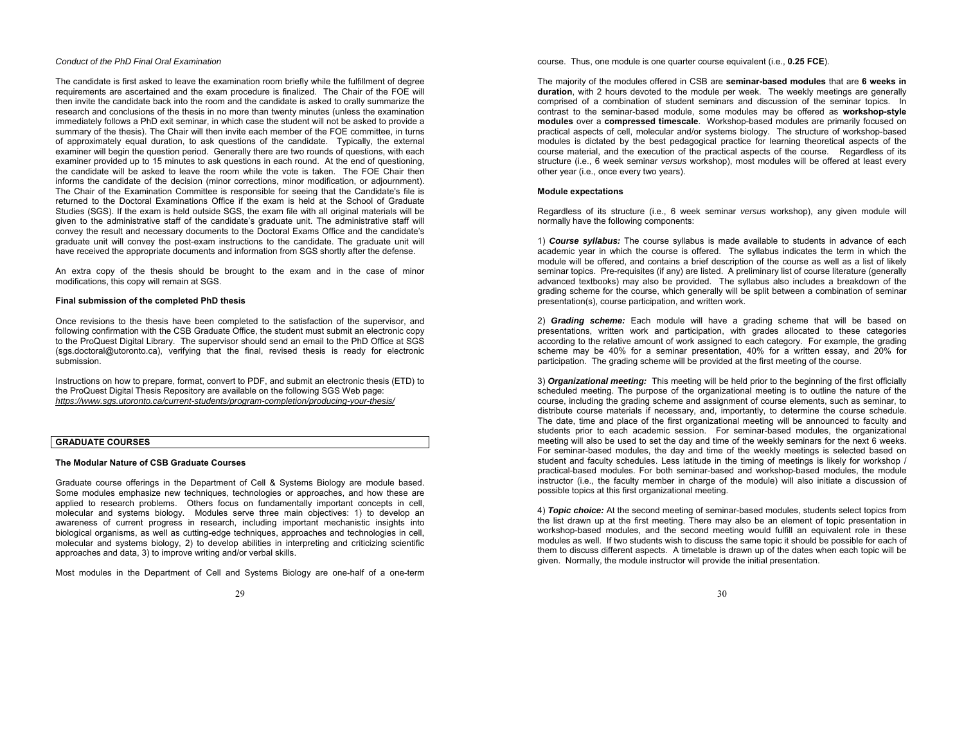### *Conduct of the PhD Final Oral Examination*

The candidate is first asked to leave the examination room briefly while the fulfillment of degree requirements are ascertained and the exam procedure is finalized. The Chair of the FOE will then invite the candidate back into the room and the candidate is asked to orally summarize the research and conclusions of the thesis in no more than twenty minutes (unless the examination immediately follows a PhD exit seminar, in which case the student will not be asked to provide a summary of the thesis). The Chair will then invite each member of the FOE committee, in turns of approximately equal duration, to ask questions of the candidate. Typically, the external examiner will begin the question period. Generally there are two rounds of questions, with each examiner provided up to 15 minutes to ask questions in each round. At the end of questioning, the candidate will be asked to leave the room while the vote is taken. The FOE Chair then informs the candidate of the decision (minor corrections, minor modification, or adjournment). The Chair of the Examination Committee is responsible for seeing that the Candidate's file is returned to the Doctoral Examinations Office if the exam is held at the School of Graduate Studies (SGS). If the exam is held outside SGS, the exam file with all original materials will be given to the administrative staff of the candidate's graduate unit. The administrative staff will convey the result and necessary documents to the Doctoral Exams Office and the candidate's graduate unit will convey the post-exam instructions to the candidate. The graduate unit will have received the appropriate documents and information from SGS shortly after the defense.

An extra copy of the thesis should be brought to the exam and in the case of minor modifications, this copy will remain at SGS.

### **Final submission of the completed PhD thesis**

Once revisions to the thesis have been completed to the satisfaction of the supervisor, and following confirmation with the CSB Graduate Office, the student must submit an electronic copy to the ProQuest Digital Library. The supervisor should send an email to the PhD Office at SGS (sgs.doctoral@utoronto.ca), verifying that the final, revised thesis is ready for electronic submission.

Instructions on how to prepare, format, convert to PDF, and submit an electronic thesis (ETD) to the ProQuest Digital Thesis Repository are available on the following SGS Web page: *https://www.sgs.utoronto.ca/current-students/program-completion/producing-your-thesis/* 

## **GRADUATE COURSES**

## **The Modular Nature of CSB Graduate Courses**

Graduate course offerings in the Department of Cell & Systems Biology are module based. Some modules emphasize new techniques, technologies or approaches, and how these are applied to research problems. Others focus on fundamentally important concepts in cell, molecular and systems biology. Modules serve three main objectives: 1) to develop an awareness of current progress in research, including important mechanistic insights into biological organisms, as well as cutting-edge techniques, approaches and technologies in cell, molecular and systems biology, 2) to develop abilities in interpreting and criticizing scientific approaches and data, 3) to improve writing and/or verbal skills.

Most modules in the Department of Cell and Systems Biology are one-half of a one-term

course. Thus, one module is one quarter course equivalent (i.e., **0.25 FCE**).

The majority of the modules offered in CSB are **seminar-based modules** that are **6 weeks in duration**, with 2 hours devoted to the module per week. The weekly meetings are generally comprised of a combination of student seminars and discussion of the seminar topics. In contrast to the seminar-based module, some modules may be offered as **workshop-style modules** over a **compressed timescale**. Workshop-based modules are primarily focused on practical aspects of cell, molecular and/or systems biology. The structure of workshop-based modules is dictated by the best pedagogical practice for learning theoretical aspects of the course material, and the execution of the practical aspects of the course. Regardless of its structure (i.e., 6 week seminar *versus* workshop), most modules will be offered at least every other year (i.e., once every two years).

#### **Module expectations**

Regardless of its structure (i.e., 6 week seminar *versus* workshop), any given module will normally have the following components:

1) *Course syllabus:* The course syllabus is made available to students in advance of each academic year in which the course is offered. The syllabus indicates the term in which the module will be offered, and contains a brief description of the course as well as a list of likely seminar topics. Pre-requisites (if any) are listed. A preliminary list of course literature (generally advanced textbooks) may also be provided. The syllabus also includes a breakdown of the grading scheme for the course, which generally will be split between a combination of seminar presentation(s), course participation, and written work.

2) *Grading scheme:* Each module will have a grading scheme that will be based on presentations, written work and participation, with grades allocated to these categories according to the relative amount of work assigned to each category. For example, the grading scheme may be 40% for a seminar presentation, 40% for a written essay, and 20% for participation. The grading scheme will be provided at the first meeting of the course.

3) *Organizational meeting:* This meeting will be held prior to the beginning of the first officially scheduled meeting. The purpose of the organizational meeting is to outline the nature of the course, including the grading scheme and assignment of course elements, such as seminar, to distribute course materials if necessary, and, importantly, to determine the course schedule. The date, time and place of the first organizational meeting will be announced to faculty and students prior to each academic session. For seminar-based modules, the organizational meeting will also be used to set the day and time of the weekly seminars for the next 6 weeks. For seminar-based modules, the day and time of the weekly meetings is selected based on student and faculty schedules. Less latitude in the timing of meetings is likely for workshop / practical-based modules. For both seminar-based and workshop-based modules, the module instructor (i.e., the faculty member in charge of the module) will also initiate a discussion of possible topics at this first organizational meeting.

4) *Topic choice:* At the second meeting of seminar-based modules, students select topics from the list drawn up at the first meeting. There may also be an element of topic presentation in workshop-based modules, and the second meeting would fulfill an equivalent role in these modules as well. If two students wish to discuss the same topic it should be possible for each of them to discuss different aspects. A timetable is drawn up of the dates when each topic will be given. Normally, the module instructor will provide the initial presentation.

29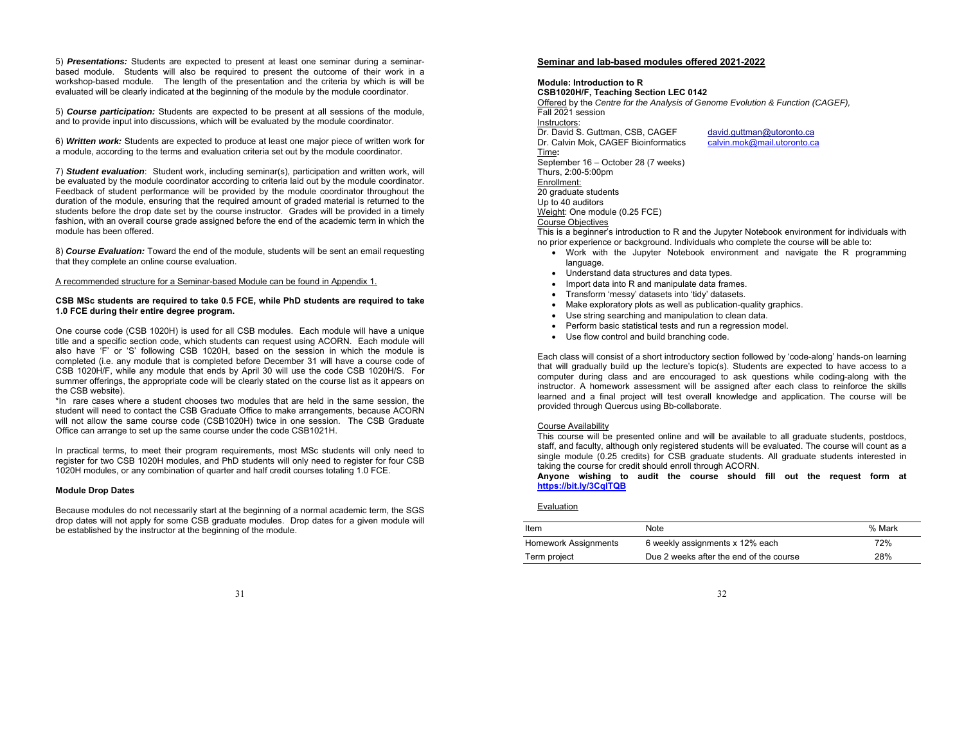5) *Presentations:* Students are expected to present at least one seminar during a seminarbased module. Students will also be required to present the outcome of their work in a workshop-based module. The length of the presentation and the criteria by which is will be evaluated will be clearly indicated at the beginning of the module by the module coordinator.

5) *Course participation:* Students are expected to be present at all sessions of the module, and to provide input into discussions, which will be evaluated by the module coordinator.

6) *Written work:* Students are expected to produce at least one major piece of written work for a module, according to the terms and evaluation criteria set out by the module coordinator.

7) *Student evaluation*: Student work, including seminar(s), participation and written work, will be evaluated by the module coordinator according to criteria laid out by the module coordinator. Feedback of student performance will be provided by the module coordinator throughout the duration of the module, ensuring that the required amount of graded material is returned to the students before the drop date set by the course instructor. Grades will be provided in a timely fashion, with an overall course grade assigned before the end of the academic term in which the module has been offered.

8) *Course Evaluation:* Toward the end of the module, students will be sent an email requesting that they complete an online course evaluation.

## A recommended structure for a Seminar-based Module can be found in Appendix 1.

## **CSB MSc students are required to take 0.5 FCE, while PhD students are required to take 1.0 FCE during their entire degree program.**

One course code (CSB 1020H) is used for all CSB modules. Each module will have a unique title and a specific section code, which students can request using ACORN. Each module will also have 'F' or 'S' following CSB 1020H, based on the session in which the module is completed (i.e. any module that is completed before December 31 will have a course code of CSB 1020H/F, while any module that ends by April 30 will use the code CSB 1020H/S. For summer offerings, the appropriate code will be clearly stated on the course list as it appears on the CSB website).

\*In rare cases where a student chooses two modules that are held in the same session, the student will need to contact the CSB Graduate Office to make arrangements, because ACORN will not allow the same course code (CSB1020H) twice in one session. The CSB Graduate Office can arrange to set up the same course under the code CSB1021H.

In practical terms, to meet their program requirements, most MSc students will only need to register for two CSB 1020H modules, and PhD students will only need to register for four CSB 1020H modules, or any combination of quarter and half credit courses totaling 1.0 FCE.

### **Module Drop Dates**

Because modules do not necessarily start at the beginning of a normal academic term, the SGS drop dates will not apply for some CSB graduate modules. Drop dates for a given module will be established by the instructor at the beginning of the module.

# **Seminar and lab-based modules offered 2021-2022**

# **Module: Introduction to R**

**CSB1020H/F, Teaching Section LEC 0142**  Offered by the *Centre for the Analysis of Genome Evolution & Function (CAGEF),*  Fall 2021 session Instructors: Dr. David S. Guttman, CSB, CAGEF david.guttman@utoronto.ca Dr. Calvin Mok, CAGEF Bioinformatics calvin.mok@mail.utoronto.ca Time**:**  September 16 – October 28 (7 weeks) Thurs, 2:00-5:00pm Enrollment: 20 graduate students Up to 40 auditors Weight: One module (0.25 FCE) Course Objectives This is a beginner's introduction to R and the Jupyter Notebook environment for individuals with no prior experience or background. Individuals who complete the course will be able to:

- Work with the Jupyter Notebook environment and navigate the R programming language.
- Understand data structures and data types.
- Import data into R and manipulate data frames.
- Transform 'messy' datasets into 'tidy' datasets.
- Make exploratory plots as well as publication-quality graphics.
- Use string searching and manipulation to clean data.
- Perform basic statistical tests and run a regression model.
- Use flow control and build branching code.

Each class will consist of a short introductory section followed by 'code-along' hands-on learning that will gradually build up the lecture's topic(s). Students are expected to have access to a computer during class and are encouraged to ask questions while coding-along with the instructor. A homework assessment will be assigned after each class to reinforce the skills learned and a final project will test overall knowledge and application. The course will be provided through Quercus using Bb-collaborate.

# Course Availability

This course will be presented online and will be available to all graduate students, postdocs, staff, and faculty, although only registered students will be evaluated. The course will count as a single module (0.25 credits) for CSB graduate students. All graduate students interested in taking the course for credit should enroll through ACORN.

**Anyone wishing to audit the course should fill out the request form at https://bit.ly/3CqlTQB** 

### Evaluation

| Item                 | Note                                    | % Mark |
|----------------------|-----------------------------------------|--------|
| Homework Assignments | 6 weekly assignments x 12% each         | 72%    |
| Term project         | Due 2 weeks after the end of the course | 28%    |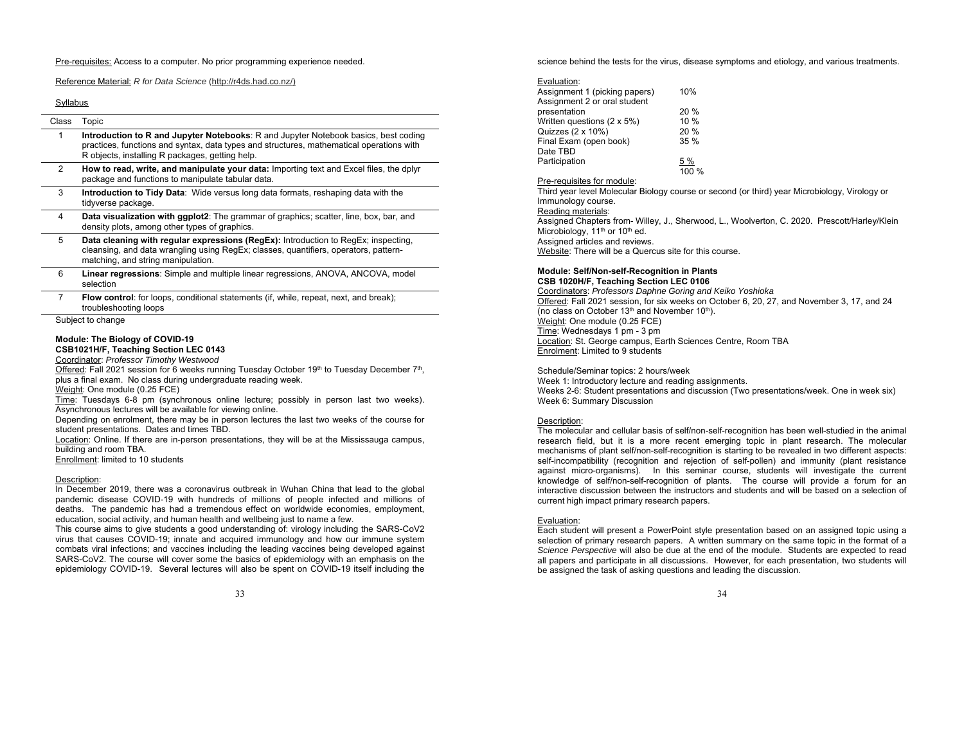### Pre-requisites: Access to a computer. No prior programming experience needed.

Reference Material: *R for Data Science* (http://r4ds.had.co.nz/)

### Syllabus

| Class | Topic                                                                                                                                                                                                                                     |
|-------|-------------------------------------------------------------------------------------------------------------------------------------------------------------------------------------------------------------------------------------------|
| 1     | <b>Introduction to R and Jupyter Notebooks:</b> R and Jupyter Notebook basics, best coding<br>practices, functions and syntax, data types and structures, mathematical operations with<br>R objects, installing R packages, getting help. |
| 2     | How to read, write, and manipulate your data: Importing text and Excel files, the dplyr<br>package and functions to manipulate tabular data.                                                                                              |
| 3     | <b>Introduction to Tidy Data:</b> Wide versus long data formats, reshaping data with the<br>tidyverse package.                                                                                                                            |
| 4     | <b>Data visualization with ggplot2:</b> The grammar of graphics; scatter, line, box, bar, and<br>density plots, among other types of graphics.                                                                                            |
| 5     | Data cleaning with regular expressions (RegEx): Introduction to RegEx; inspecting,<br>cleansing, and data wrangling using RegEx; classes, quantifiers, operators, pattern-<br>matching, and string manipulation.                          |
| 6     | <b>Linear regressions:</b> Simple and multiple linear regressions, ANOVA, ANCOVA, model<br>selection                                                                                                                                      |
| 7     | <b>Flow control:</b> for loops, conditional statements (if, while, repeat, next, and break);<br>troubleshooting loops                                                                                                                     |

Subject to change

#### **Module: The Biology of COVID-19 CSB1021H/F, Teaching Section LEC 0143**

Coordinator: *Professor Timothy Westwood*

<u>Offered</u>: Fall 2021 session for 6 weeks running Tuesday October 19<sup>th</sup> to Tuesday December 7<sup>th</sup>, plus a final exam. No class during undergraduate reading week.

Weight: One module (0.25 FCE)

Time: Tuesdays 6-8 pm (synchronous online lecture; possibly in person last two weeks). Asynchronous lectures will be available for viewing online.

Depending on enrolment, there may be in person lectures the last two weeks of the course for student presentations. Dates and times TBD.

Location: Online. If there are in-person presentations, they will be at the Mississauga campus, building and room TBA.

Enrollment: limited to 10 students

#### Description:

In December 2019, there was a coronavirus outbreak in Wuhan China that lead to the global pandemic disease COVID-19 with hundreds of millions of people infected and millions of deaths. The pandemic has had a tremendous effect on worldwide economies, employment, education, social activity, and human health and wellbeing just to name a few.

This course aims to give students a good understanding of: virology including the SARS-CoV2 virus that causes COVID-19; innate and acquired immunology and how our immune system combats viral infections; and vaccines including the leading vaccines being developed against SARS-CoV2. The course will cover some the basics of epidemiology with an emphasis on the epidemiology COVID-19. Several lectures will also be spent on COVID-19 itself including the

33

science behind the tests for the virus, disease symptoms and etiology, and various treatments.

#### Evaluation:

| Assignment 1 (picking papers) | 10%        |
|-------------------------------|------------|
| Assignment 2 or oral student  |            |
| presentation                  | 20%        |
| Written questions (2 x 5%)    | 10%        |
| Quizzes (2 x 10%)             | 20%        |
| Final Exam (open book)        | 35%        |
| Date TBD                      |            |
| Participation                 | <u>5 %</u> |
|                               | 100 %      |

#### Pre-requisites for module:

Third year level Molecular Biology course or second (or third) year Microbiology, Virology or Immunology course. Reading materials: Assigned Chapters from- Willey, J., Sherwood, L., Woolverton, C. 2020. Prescott/Harley/Klein Microbiology,  $11<sup>th</sup>$  or  $10<sup>th</sup>$  ed.

Assigned articles and reviews.

Website: There will be a Quercus site for this course.

### **Module: Self/Non-self-Recognition in Plants CSB 1020H/F, Teaching Section LEC 0106**

Coordinators: *Professors Daphne Goring and Keiko Yoshioka*  Offered: Fall 2021 session, for six weeks on October 6, 20, 27, and November 3, 17, and 24 (no class on October 13<sup>th</sup> and November 10<sup>th</sup>). Weight: One module (0.25 FCE) Time: Wednesdays 1 pm - 3 pm Location: St. George campus, Earth Sciences Centre, Room TBA Enrolment: Limited to 9 students

Schedule/Seminar topics: 2 hours/week Week 1: Introductory lecture and reading assignments. Weeks 2-6: Student presentations and discussion (Two presentations/week. One in week six) Week 6: Summary Discussion

## Description:

The molecular and cellular basis of self/non-self-recognition has been well-studied in the animal research field, but it is a more recent emerging topic in plant research. The molecular mechanisms of plant self/non-self-recognition is starting to be revealed in two different aspects: self-incompatibility (recognition and rejection of self-pollen) and immunity (plant resistance against micro-organisms). In this seminar course, students will investigate the current knowledge of self/non-self-recognition of plants. The course will provide a forum for an interactive discussion between the instructors and students and will be based on a selection of current high impact primary research papers.

### Evaluation:

Each student will present a PowerPoint style presentation based on an assigned topic using a selection of primary research papers. A written summary on the same topic in the format of a *Science Perspective* will also be due at the end of the module. Students are expected to read all papers and participate in all discussions. However, for each presentation, two students will be assigned the task of asking questions and leading the discussion.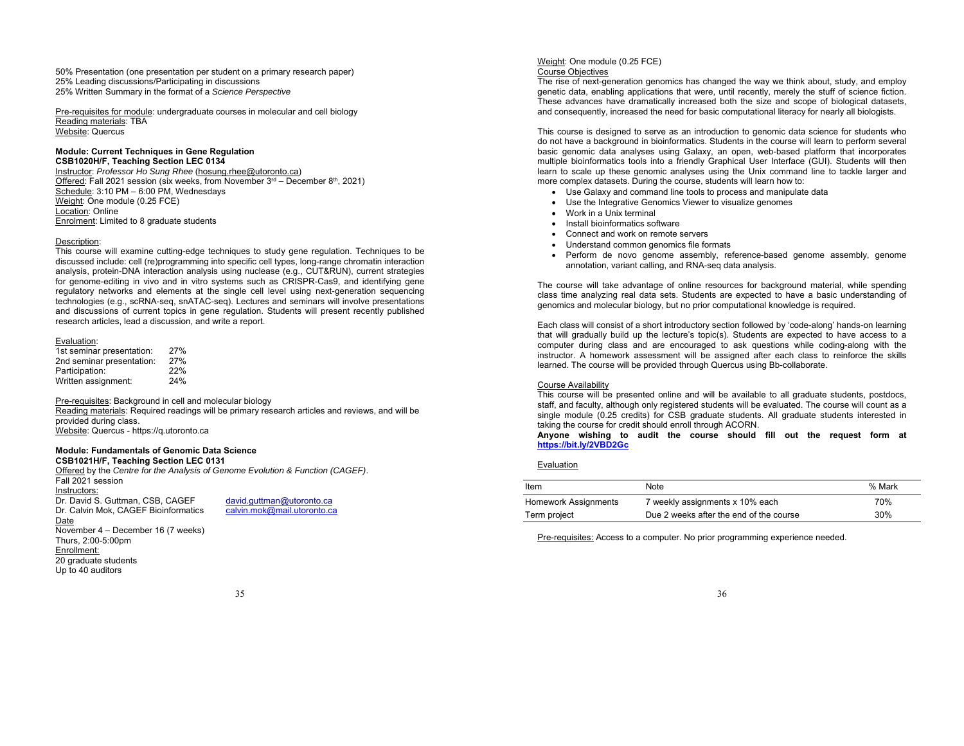50% Presentation (one presentation per student on a primary research paper) 25% Leading discussions/Participating in discussions 25% Written Summary in the format of a *Science Perspective*

Pre-requisites for module: undergraduate courses in molecular and cell biology Reading materials: TBA Website: Quercus

#### **Module: Current Techniques in Gene Regulation CSB1020H/F, Teaching Section LEC 0134**

Instructor: *Professor Ho Sung Rhee* (hosung.rhee@utoronto.ca) Offered: Fall 2021 session (six weeks, from November 3<sup>rd</sup> – December 8<sup>th</sup>, 2021) Schedule: 3:10 PM – 6:00 PM, Wednesdays Weight: One module (0.25 FCE) Location: Online Enrolment: Limited to 8 graduate students

### Description:

This course will examine cutting-edge techniques to study gene regulation. Techniques to be discussed include: cell (re)programming into specific cell types, long-range chromatin interaction analysis, protein-DNA interaction analysis using nuclease (e.g., CUT&RUN), current strategies for genome-editing in vivo and in vitro systems such as CRISPR-Cas9, and identifying gene regulatory networks and elements at the single cell level using next-generation sequencing technologies (e.g., scRNA-seq, snATAC-seq). Lectures and seminars will involve presentations and discussions of current topics in gene regulation. Students will present recently published research articles, lead a discussion, and write a report.

## Evaluation:

| 1st seminar presentation: | 27% |
|---------------------------|-----|
| 2nd seminar presentation: | 27% |
| Participation:            | 22% |
| Written assignment:       | 24% |

Pre-requisites: Background in cell and molecular biology

Reading materials: Required readings will be primary research articles and reviews, and will be provided during class. Website: Quercus - https://q.utoronto.ca

## **Module: Fundamentals of Genomic Data Science**

**CSB1021H/F, Teaching Section LEC 0131**  Offered by the *Centre for the Analysis of Genome Evolution & Function (CAGEF)*. Fall 2021 session Instructors:

Dr. David S. Guttman, CSB, CAGEE Dr. Calvin Mok, CAGEF Bioinformatics Date November 4 – December 16 (7 weeks) Thurs, 2:00-5:00pm Enrollment: 20 graduate students Up to 40 auditors

david.guttman@utoronto.ca<br>calvin.mok@mail.utoronto.ca

### Weight: One module (0.25 FCE) Course Objectives

The rise of next-generation genomics has changed the way we think about, study, and employ genetic data, enabling applications that were, until recently, merely the stuff of science fiction. These advances have dramatically increased both the size and scope of biological datasets, and consequently, increased the need for basic computational literacy for nearly all biologists.

This course is designed to serve as an introduction to genomic data science for students who do not have a background in bioinformatics. Students in the course will learn to perform several basic genomic data analyses using Galaxy, an open, web-based platform that incorporates multiple bioinformatics tools into a friendly Graphical User Interface (GUI). Students will then learn to scale up these genomic analyses using the Unix command line to tackle larger and more complex datasets. During the course, students will learn how to:

- Use Galaxy and command line tools to process and manipulate data
- Use the Integrative Genomics Viewer to visualize genomes
- Work in a Unix terminal
- Install bioinformatics software
- Connect and work on remote servers
- Understand common genomics file formats
- Perform de novo genome assembly, reference-based genome assembly, genome annotation, variant calling, and RNA-seq data analysis.

The course will take advantage of online resources for background material, while spending class time analyzing real data sets. Students are expected to have a basic understanding of genomics and molecular biology, but no prior computational knowledge is required.

Each class will consist of a short introductory section followed by 'code-along' hands-on learning that will gradually build up the lecture's topic(s). Students are expected to have access to a computer during class and are encouraged to ask questions while coding-along with the instructor. A homework assessment will be assigned after each class to reinforce the skills learned. The course will be provided through Quercus using Bb-collaborate.

### Course Availability

This course will be presented online and will be available to all graduate students, postdocs, staff, and faculty, although only registered students will be evaluated. The course will count as a single module (0.25 credits) for CSB graduate students. All graduate students interested in taking the course for credit should enroll through ACORN.

**Anyone wishing to audit the course should fill out the request form at https://bit.ly/2VBD2Gc**

## Evaluation

| Item                 | Note                                    | % Mark |
|----------------------|-----------------------------------------|--------|
| Homework Assignments | 7 weekly assignments x 10% each         | 70%    |
| Term project         | Due 2 weeks after the end of the course | 30%    |

36

Pre-requisites: Access to a computer. No prior programming experience needed.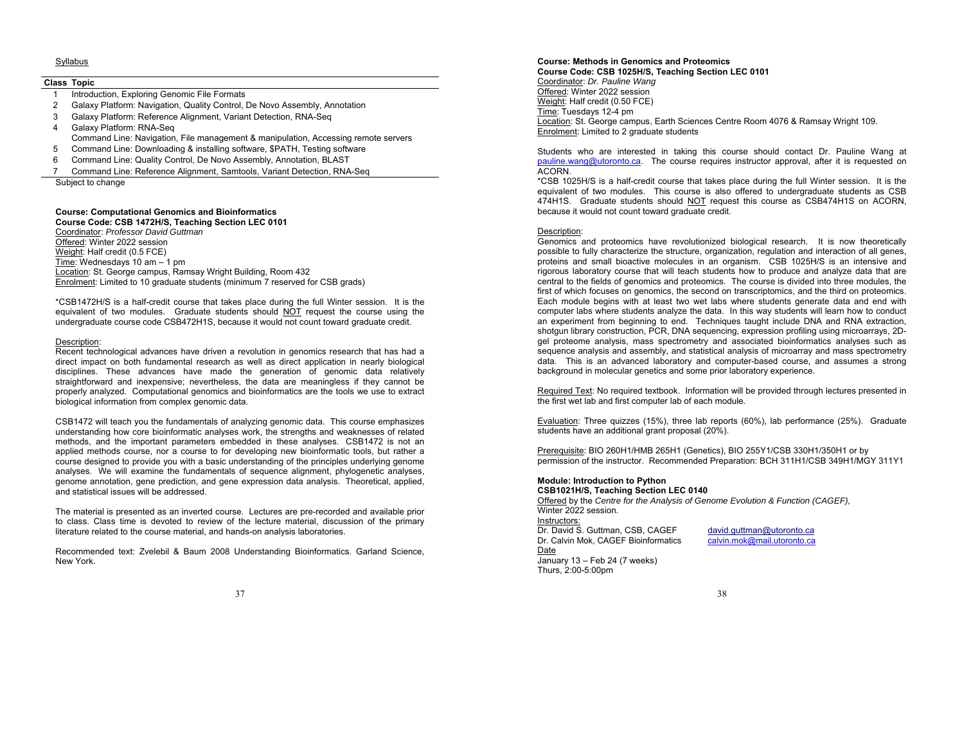### Syllabus

#### **Class Topic**

- 1 Introduction, Exploring Genomic File Formats
- 2 Galaxy Platform: Navigation, Quality Control, De Novo Assembly, Annotation
- 3 Galaxy Platform: Reference Alignment, Variant Detection, RNA-Seq
- 4 Galaxy Platform: RNA-Seq
- Command Line: Navigation, File management & manipulation, Accessing remote servers
- 5 Command Line: Downloading & installing software, \$PATH, Testing software
- 6 Command Line: Quality Control, De Novo Assembly, Annotation, BLAST
- 7 Command Line: Reference Alignment, Samtools, Variant Detection, RNA-Seq

Subject to change

# **Course: Computational Genomics and Bioinformatics**

**Course Code: CSB 1472H/S, Teaching Section LEC 0101**  Coordinator: *Professor David Guttman*  Offered: Winter 2022 session Weight: Half credit (0.5 FCE) Time: Wednesdays 10 am – 1 pm Location: St. George campus, Ramsay Wright Building, Room 432 Enrolment: Limited to 10 graduate students (minimum 7 reserved for CSB grads)

\*CSB1472H/S is a half-credit course that takes place during the full Winter session. It is the equivalent of two modules. Graduate students should NOT request the course using the undergraduate course code CSB472H1S, because it would not count toward graduate credit.

### Description:

Recent technological advances have driven a revolution in genomics research that has had a direct impact on both fundamental research as well as direct application in nearly biological disciplines. These advances have made the generation of genomic data relatively straightforward and inexpensive; nevertheless, the data are meaningless if they cannot be properly analyzed. Computational genomics and bioinformatics are the tools we use to extract biological information from complex genomic data.

CSB1472 will teach you the fundamentals of analyzing genomic data. This course emphasizes understanding how core bioinformatic analyses work, the strengths and weaknesses of related methods, and the important parameters embedded in these analyses. CSB1472 is not an applied methods course, nor a course to for developing new bioinformatic tools, but rather a course designed to provide you with a basic understanding of the principles underlying genome analyses. We will examine the fundamentals of sequence alignment, phylogenetic analyses, genome annotation, gene prediction, and gene expression data analysis. Theoretical, applied, and statistical issues will be addressed.

The material is presented as an inverted course. Lectures are pre-recorded and available prior to class. Class time is devoted to review of the lecture material, discussion of the primary literature related to the course material, and hands-on analysis laboratories.

Recommended text: Zvelebil & Baum 2008 Understanding Bioinformatics. Garland Science, New York.

37

#### **Course: Methods in Genomics and Proteomics**

**Course Code: CSB 1025H/S, Teaching Section LEC 0101**  Coordinator: *Dr. Pauline Wang* Offered: Winter 2022 session Weight: Half credit (0.50 FCE) Time: Tuesdays 12-4 pm Location: St. George campus, Earth Sciences Centre Room 4076 & Ramsay Wright 109. Enrolment: Limited to 2 graduate students

Students who are interested in taking this course should contact Dr. Pauline Wang at pauline.wang@utoronto.ca. The course requires instructor approval, after it is requested on ACORN.

\*CSB 1025H/S is a half-credit course that takes place during the full Winter session. It is the equivalent of two modules. This course is also offered to undergraduate students as CSB 474H1S. Graduate students should NOT request this course as CSB474H1S on ACORN, because it would not count toward graduate credit.

### Description:

Genomics and proteomics have revolutionized biological research. It is now theoretically possible to fully characterize the structure, organization, regulation and interaction of all genes, proteins and small bioactive molecules in an organism. CSB 1025H/S is an intensive and rigorous laboratory course that will teach students how to produce and analyze data that are central to the fields of genomics and proteomics. The course is divided into three modules, the first of which focuses on genomics, the second on transcriptomics, and the third on proteomics. Each module begins with at least two wet labs where students generate data and end with computer labs where students analyze the data. In this way students will learn how to conduct an experiment from beginning to end. Techniques taught include DNA and RNA extraction, shotgun library construction, PCR, DNA sequencing, expression profiling using microarrays, 2Dgel proteome analysis, mass spectrometry and associated bioinformatics analyses such as sequence analysis and assembly, and statistical analysis of microarray and mass spectrometry data. This is an advanced laboratory and computer-based course, and assumes a strong background in molecular genetics and some prior laboratory experience.

Required Text: No required textbook. Information will be provided through lectures presented in the first wet lab and first computer lab of each module.

Evaluation: Three quizzes (15%), three lab reports (60%), lab performance (25%). Graduate students have an additional grant proposal (20%).

Prerequisite: BIO 260H1/HMB 265H1 (Genetics), BIO 255Y1/CSB 330H1/350H1 or by permission of the instructor. Recommended Preparation: BCH 311H1/CSB 349H1/MGY 311Y1

#### **Module: Introduction to Python CSB1021H/S, Teaching Section LEC 0140**

Offered by the *Centre for the Analysis of Genome Evolution & Function (CAGEF),*  Winter 2022 session. Instructors:

Dr. David S. Guttman, CSB, CAGEF david.guttman@utoronto.ca Dr. Calvin Mok, CAGEF Bioinformatics calvin.mok@mail.utoronto.ca

January 13 – Feb 24 (7 weeks)

Date

Thurs, 2:00-5:00pm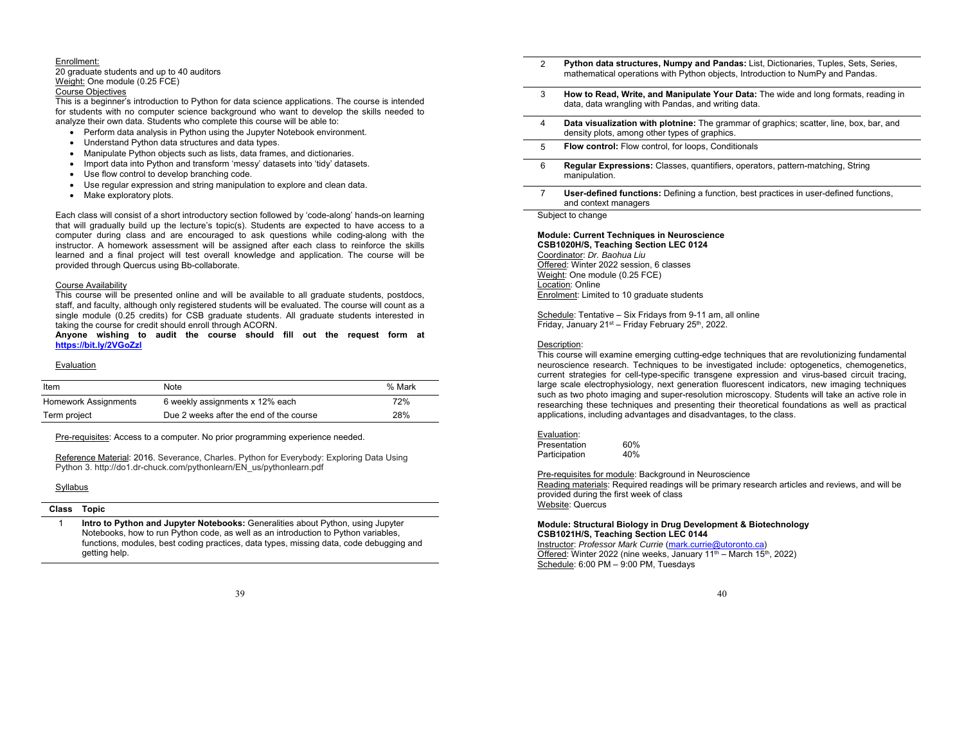#### Enrollment:

20 graduate students and up to 40 auditors Weight: One module (0.25 FCE)

# Course Objectives

This is a beginner's introduction to Python for data science applications. The course is intended for students with no computer science background who want to develop the skills needed to analyze their own data. Students who complete this course will be able to:

- Perform data analysis in Python using the Jupyter Notebook environment.
- Understand Python data structures and data types.
- Manipulate Python objects such as lists, data frames, and dictionaries.
- Import data into Python and transform 'messy' datasets into 'tidy' datasets.
- Use flow control to develop branching code.
- Use regular expression and string manipulation to explore and clean data.
- Make exploratory plots.

Each class will consist of a short introductory section followed by 'code-along' hands-on learning that will gradually build up the lecture's topic(s). Students are expected to have access to a computer during class and are encouraged to ask questions while coding-along with the instructor. A homework assessment will be assigned after each class to reinforce the skills learned and a final project will test overall knowledge and application. The course will be provided through Quercus using Bb-collaborate.

### Course Availability

This course will be presented online and will be available to all graduate students, postdocs, staff, and faculty, although only registered students will be evaluated. The course will count as a single module (0.25 credits) for CSB graduate students. All graduate students interested in taking the course for credit should enroll through ACORN.

**Anyone wishing to audit the course should fill out the request form at https://bit.ly/2VGoZzl**

### Evaluation

| Item                 | Note                                    | % Mark |
|----------------------|-----------------------------------------|--------|
| Homework Assignments | 6 weekly assignments x 12% each         | 72%    |
| Term project         | Due 2 weeks after the end of the course | 28%    |

Pre-requisites: Access to a computer. No prior programming experience needed.

Reference Material: 2016. Severance, Charles. Python for Everybody: Exploring Data Using Python 3. http://do1.dr-chuck.com/pythonlearn/EN\_us/pythonlearn.pdf

# **Syllabus**

## **Class Topic**

1 **Intro to Python and Jupyter Notebooks:** Generalities about Python, using Jupyter Notebooks, how to run Python code, as well as an introduction to Python variables, functions, modules, best coding practices, data types, missing data, code debugging and getting help.

#### 39

- 2 **Python data structures, Numpy and Pandas:** List, Dictionaries, Tuples, Sets, Series, mathematical operations with Python objects, Introduction to NumPy and Pandas.
- 3 **How to Read, Write, and Manipulate Your Data:** The wide and long formats, reading in data, data wrangling with Pandas, and writing data.
- 4 **Data visualization with plotnine:** The grammar of graphics; scatter, line, box, bar, and density plots, among other types of graphics.
- 5 **Flow control:** Flow control, for loops, Conditionals
- 6 **Regular Expressions:** Classes, quantifiers, operators, pattern-matching, String manipulation.
- 7 **User-defined functions:** Defining a function, best practices in user-defined functions, and context managers

Subject to change

## **Module: Current Techniques in Neuroscience**

**CSB1020H/S, Teaching Section LEC 0124**  Coordinator: *Dr. Baohua Liu*  Offered: Winter 2022 session, 6 classes Weight: One module (0.25 FCE) Location: Online Enrolment: Limited to 10 graduate students

Schedule: Tentative – Six Fridays from 9-11 am, all online Friday, January  $21<sup>st</sup> -$  Friday February  $25<sup>th</sup>$ , 2022.

### Description:

This course will examine emerging cutting-edge techniques that are revolutionizing fundamental neuroscience research. Techniques to be investigated include: optogenetics, chemogenetics, current strategies for cell-type-specific transgene expression and virus-based circuit tracing, large scale electrophysiology, next generation fluorescent indicators, new imaging techniques such as two photo imaging and super-resolution microscopy. Students will take an active role in researching these techniques and presenting their theoretical foundations as well as practical applications, including advantages and disadvantages, to the class.

| Evaluation: |
|-------------|
|             |

| Presentation  | 60% |
|---------------|-----|
| Participation | 40% |

Pre-requisites for module: Background in Neuroscience

Reading materials: Required readings will be primary research articles and reviews, and will be provided during the first week of class Website: Quercus

### **Module: Structural Biology in Drug Development & Biotechnology CSB1021H/S, Teaching Section LEC 0144**

Instructor: *Professor Mark Currie* (mark.currie@utoronto.ca) Offered: Winter 2022 (nine weeks, January  $11^{th}$  – March  $15^{th}$ , 2022) Schedule: 6:00 PM – 9:00 PM, Tuesdays

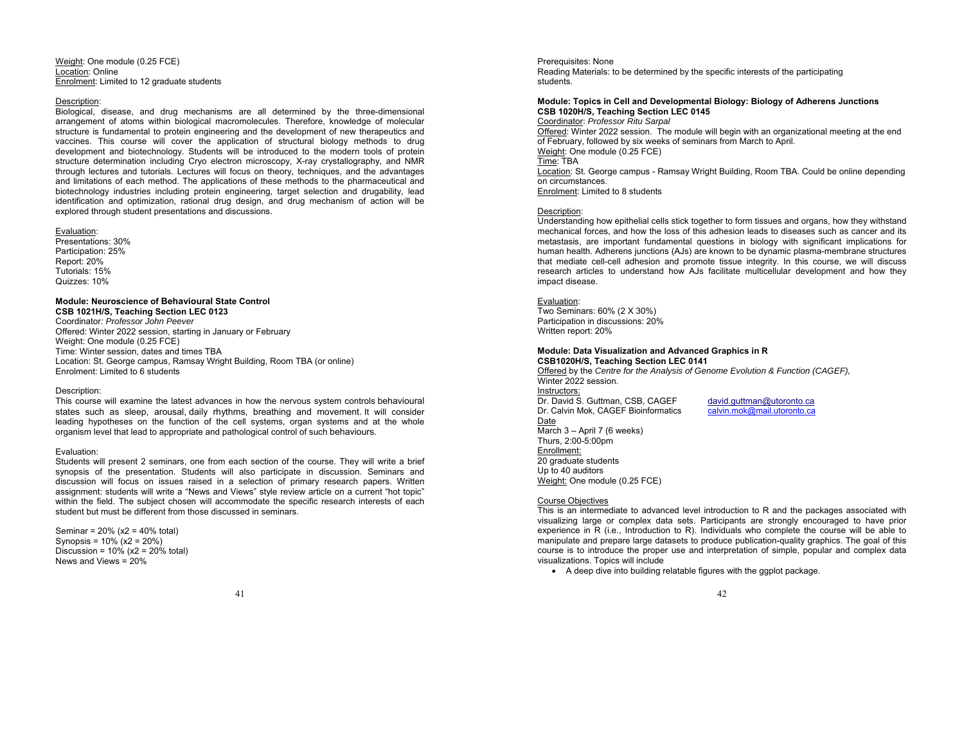Weight: One module (0.25 FCE) Location: OnlineEnrolment: Limited to 12 graduate students

#### Description:

Biological, disease, and drug mechanisms are all determined by the three-dimensional arrangement of atoms within biological macromolecules. Therefore, knowledge of molecular structure is fundamental to protein engineering and the development of new therapeutics and vaccines. This course will cover the application of structural biology methods to drug development and biotechnology. Students will be introduced to the modern tools of protein structure determination including Cryo electron microscopy, X-ray crystallography, and NMR through lectures and tutorials. Lectures will focus on theory, techniques, and the advantages and limitations of each method. The applications of these methods to the pharmaceutical and biotechnology industries including protein engineering, target selection and drugability, lead identification and optimization, rational drug design, and drug mechanism of action will be explored through student presentations and discussions.

#### Evaluation:

 Presentations: 30% Participation: 25% Report: 20% Tutorials: 15% Quizzes: 10%

### **Module: Neuroscience of Behavioural State Control**

**CSB 1021H/S, Teaching Section LEC 0123** Coordinator*: Professor John Peever* Offered: Winter 2022 session, starting in January or February Weight: One module (0.25 FCE) Time: Winter session, dates and times TBA Location: St. George campus, Ramsay Wright Building, Room TBA (or online) Enrolment: Limited to 6 students

### Description:

This course will examine the latest advances in how the nervous system controls behavioural states such as sleep, arousal, daily rhythms, breathing and movement. It will consider leading hypotheses on the function of the cell systems, organ systems and at the whole organism level that lead to appropriate and pathological control of such behaviours.

### Evaluation:

Students will present 2 seminars, one from each section of the course. They will write a brief synopsis of the presentation. Students will also participate in discussion. Seminars and discussion will focus on issues raised in a selection of primary research papers. Written assignment: students will write a "News and Views" style review article on a current "hot topic" within the field. The subject chosen will accommodate the specific research interests of each student but must be different from those discussed in seminars.

Seminar = 20% (x2 = 40% total) Synopsis = 10% (x2 = 20%) Discussion =  $10\%$  (x2 =  $20\%$  total) News and Views = 20%

41

Prerequisites: None Reading Materials: to be determined by the specific interests of the participating students.

## **Module: Topics in Cell and Developmental Biology: Biology of Adherens Junctions CSB 1020H/S, Teaching Section LEC 0145**

Coordinator: *Professor Ritu Sarpal*  Offered: Winter 2022 session. The module will begin with an organizational meeting at the end of February, followed by six weeks of seminars from March to April. Weight: One module (0.25 FCE) Time: TBA Location: St. George campus - Ramsay Wright Building, Room TBA. Could be online depending on circumstances. Enrolment: Limited to 8 students

### Description:

Understanding how epithelial cells stick together to form tissues and organs, how they withstand mechanical forces, and how the loss of this adhesion leads to diseases such as cancer and its metastasis, are important fundamental questions in biology with significant implications for human health. Adherens junctions (AJs) are known to be dynamic plasma-membrane structures that mediate cell-cell adhesion and promote tissue integrity. In this course, we will discuss research articles to understand how AJs facilitate multicellular development and how they impact disease.

#### Evaluation:

 Two Seminars: 60% (2 X 30%) Participation in discussions: 20% Written report: 20%

#### **Module: Data Visualization and Advanced Graphics in R CSB1020H/S, Teaching Section LEC 0141**

Offered by the *Centre for the Analysis of Genome Evolution & Function (CAGEF),*  Winter 2022 session.

Instructors: Dr. David S. Guttman, CSB, CAGEF david.guttman@utoronto.ca Dr. Calvin Mok, CAGEF Bioinformatics calvin.mok@mail.utoronto.ca Date March 3 – April 7 (6 weeks) Thurs, 2:00-5:00pm Enrollment: 20 graduate students Up to 40 auditors Weight: One module (0.25 FCE)

### Course Objectives

This is an intermediate to advanced level introduction to R and the packages associated with visualizing large or complex data sets. Participants are strongly encouraged to have prior experience in R (i.e., Introduction to R). Individuals who complete the course will be able to manipulate and prepare large datasets to produce publication-quality graphics. The goal of this course is to introduce the proper use and interpretation of simple, popular and complex data visualizations. Topics will include

A deep dive into building relatable figures with the ggplot package.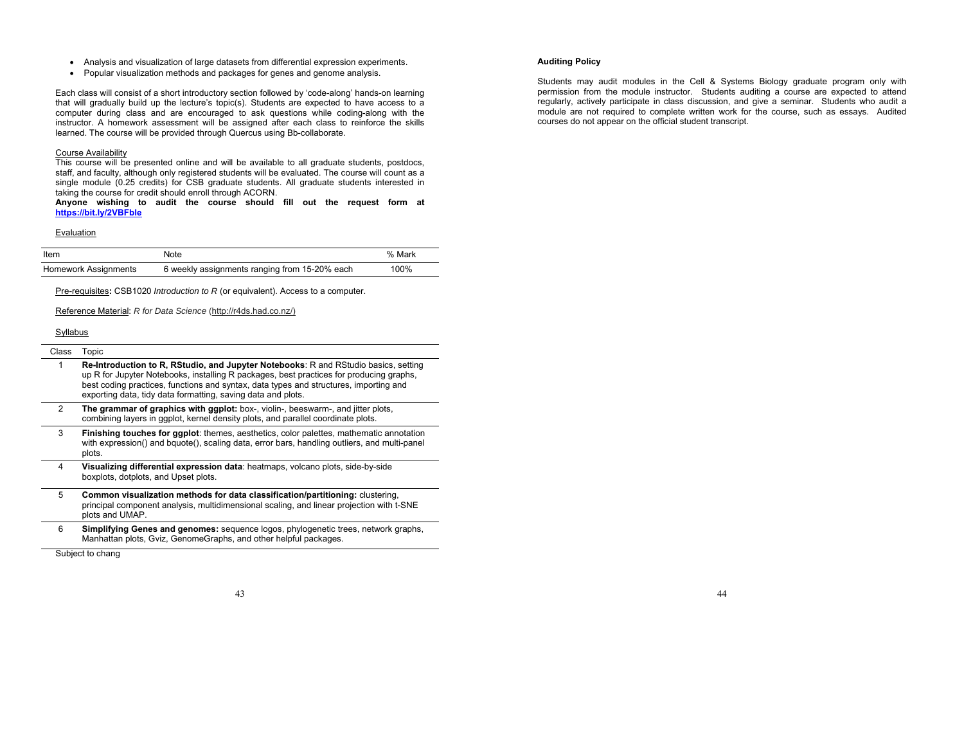- Analysis and visualization of large datasets from differential expression experiments.
- Popular visualization methods and packages for genes and genome analysis.

Each class will consist of a short introductory section followed by 'code-along' hands-on learning that will gradually build up the lecture's topic(s). Students are expected to have access to a computer during class and are encouraged to ask questions while coding-along with the instructor. A homework assessment will be assigned after each class to reinforce the skills learned. The course will be provided through Quercus using Bb-collaborate.

## **Course Availability**

This course will be presented online and will be available to all graduate students, postdocs, staff, and faculty, although only registered students will be evaluated. The course will count as a single module (0.25 credits) for CSB graduate students. All graduate students interested in taking the course for credit should enroll through ACORN.

**Anyone wishing to audit the course should fill out the request form at https://bit.ly/2VBFble**

#### Evaluation

| Item                 | Note                                          | % Mark |
|----------------------|-----------------------------------------------|--------|
| Homework Assignments | 6 weekly assignments ranging from 15-20% each | 100%   |

Pre-requisites**:** CSB1020 *Introduction to R* (or equivalent). Access to a computer.

Reference Material: *R for Data Science* (http://r4ds.had.co.nz/)

# Syllabus

#### Class Topic

- 1 **Re-Introduction to R, RStudio, and Jupyter Notebooks**: R and RStudio basics, setting up R for Jupyter Notebooks, installing R packages, best practices for producing graphs, best coding practices, functions and syntax, data types and structures, importing and exporting data, tidy data formatting, saving data and plots.
- 2 **The grammar of graphics with ggplot:** box-, violin-, beeswarm-, and jitter plots, combining layers in ggplot, kernel density plots, and parallel coordinate plots.
- 3 **Finishing touches for ggplot**: themes, aesthetics, color palettes, mathematic annotation with expression() and bquote(), scaling data, error bars, handling outliers, and multi-panel plots.
- 4 **Visualizing differential expression data**: heatmaps, volcano plots, side-by-side boxplots, dotplots, and Upset plots.
- 5 **Common visualization methods for data classification/partitioning:** clustering, principal component analysis, multidimensional scaling, and linear projection with t-SNE plots and UMAP.
- 6 **Simplifying Genes and genomes:** sequence logos, phylogenetic trees, network graphs, Manhattan plots, Gviz, GenomeGraphs, and other helpful packages.

43

Subject to chang

## **Auditing Policy**

Students may audit modules in the Cell & Systems Biology graduate program only with permission from the module instructor. Students auditing a course are expected to attend regularly, actively participate in class discussion, and give a seminar. Students who audit a module are not required to complete written work for the course, such as essays. Audited courses do not appear on the official student transcript.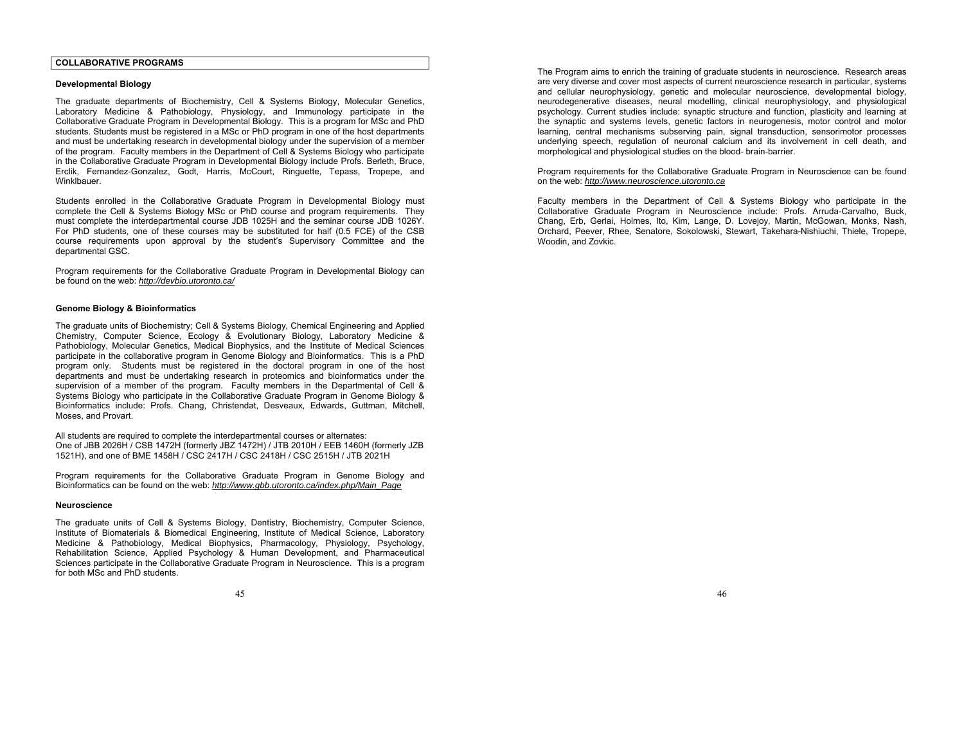## **COLLABORATIVE PROGRAMS**

### **Developmental Biology**

The graduate departments of Biochemistry, Cell & Systems Biology, Molecular Genetics, Laboratory Medicine & Pathobiology, Physiology, and Immunology participate in the Collaborative Graduate Program in Developmental Biology. This is a program for MSc and PhD students. Students must be registered in a MSc or PhD program in one of the host departments and must be undertaking research in developmental biology under the supervision of a member of the program. Faculty members in the Department of Cell & Systems Biology who participate in the Collaborative Graduate Program in Developmental Biology include Profs. Berleth, Bruce, Erclik, Fernandez-Gonzalez, Godt, Harris, McCourt, Ringuette, Tepass, Tropepe, and Winklbauer.

Students enrolled in the Collaborative Graduate Program in Developmental Biology must complete the Cell & Systems Biology MSc or PhD course and program requirements. They must complete the interdepartmental course JDB 1025H and the seminar course JDB 1026Y. For PhD students, one of these courses may be substituted for half (0.5 FCE) of the CSB course requirements upon approval by the student's Supervisory Committee and the departmental GSC.

Program requirements for the Collaborative Graduate Program in Developmental Biology can be found on the web: *http://devbio.utoronto.ca/* 

### **Genome Biology & Bioinformatics**

The graduate units of Biochemistry; Cell & Systems Biology, Chemical Engineering and Applied Chemistry, Computer Science, Ecology & Evolutionary Biology, Laboratory Medicine & Pathobiology, Molecular Genetics, Medical Biophysics, and the Institute of Medical Sciences participate in the collaborative program in Genome Biology and Bioinformatics. This is a PhD program only. Students must be registered in the doctoral program in one of the host departments and must be undertaking research in proteomics and bioinformatics under the supervision of a member of the program. Faculty members in the Departmental of Cell & Systems Biology who participate in the Collaborative Graduate Program in Genome Biology & Bioinformatics include: Profs. Chang, Christendat, Desveaux, Edwards, Guttman, Mitchell, Moses, and Provart.

All students are required to complete the interdepartmental courses or alternates: One of JBB 2026H / CSB 1472H (formerly JBZ 1472H) / JTB 2010H / EEB 1460H (formerly JZB 1521H), and one of BME 1458H / CSC 2417H / CSC 2418H / CSC 2515H / JTB 2021H

Program requirements for the Collaborative Graduate Program in Genome Biology and Bioinformatics can be found on the web: *http://www.gbb.utoronto.ca/index.php/Main\_Page* 

### **Neuroscience**

The graduate units of Cell & Systems Biology, Dentistry, Biochemistry, Computer Science, Institute of Biomaterials & Biomedical Engineering, Institute of Medical Science, Laboratory Medicine & Pathobiology, Medical Biophysics, Pharmacology, Physiology, Psychology, Rehabilitation Science, Applied Psychology & Human Development, and Pharmaceutical Sciences participate in the Collaborative Graduate Program in Neuroscience. This is a program for both MSc and PhD students.

The Program aims to enrich the training of graduate students in neuroscience. Research areas are very diverse and cover most aspects of current neuroscience research in particular, systems and cellular neurophysiology, genetic and molecular neuroscience, developmental biology, neurodegenerative diseases, neural modelling, clinical neurophysiology, and physiological psychology. Current studies include: synaptic structure and function, plasticity and learning at the synaptic and systems levels, genetic factors in neurogenesis, motor control and motor learning, central mechanisms subserving pain, signal transduction, sensorimotor processes underlying speech, regulation of neuronal calcium and its involvement in cell death, and morphological and physiological studies on the blood- brain-barrier.

Program requirements for the Collaborative Graduate Program in Neuroscience can be found on the web: *http://www.neuroscience.utoronto.ca*

Faculty members in the Department of Cell & Systems Biology who participate in the Collaborative Graduate Program in Neuroscience include: Profs. Arruda-Carvalho, Buck, Chang, Erb, Gerlai, Holmes, Ito, Kim, Lange, D. Lovejoy, Martin, McGowan, Monks, Nash, Orchard, Peever, Rhee, Senatore, Sokolowski, Stewart, Takehara-Nishiuchi, Thiele, Tropepe, Woodin, and Zovkic.

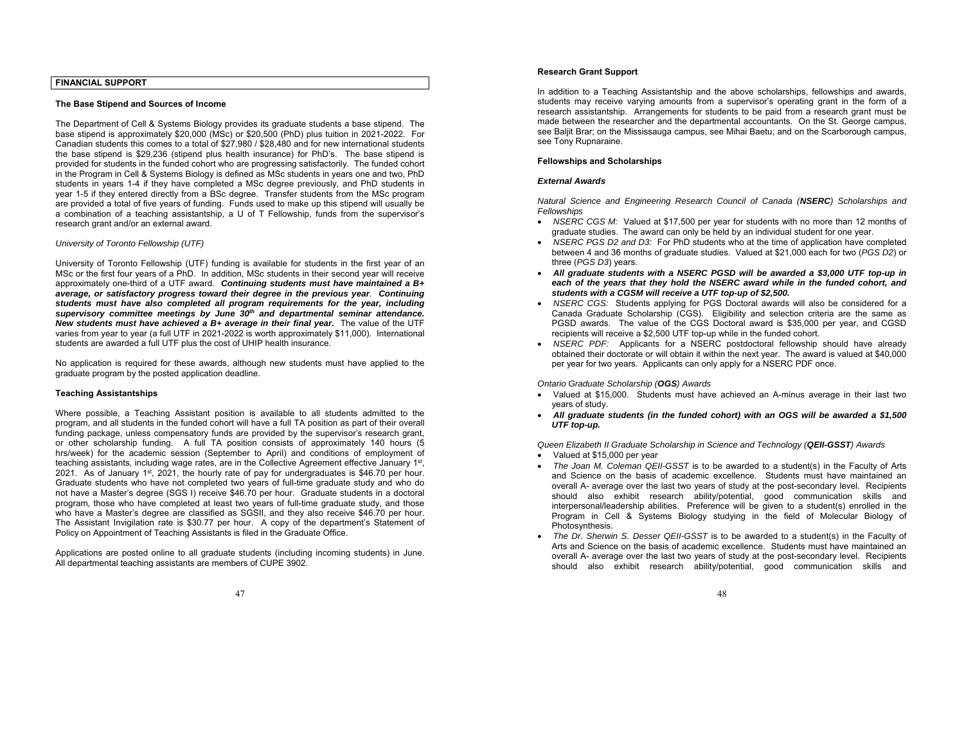## **FINANCIAL SUPPORT**

#### **The Base Stipend and Sources of Income**

The Department of Cell & Systems Biology provides its graduate students a base stipend. The base stipend is approximately \$20,000 (MSc) or \$20,500 (PhD) plus tuition in 2021-2022. For Canadian students this comes to a total of \$27,980 / \$28,480 and for new international students the base stipend is \$29,236 (stipend plus health insurance) for PhD's. The base stipend is provided for students in the funded cohort who are progressing satisfactorily. The funded cohort in the Program in Cell & Systems Biology is defined as MSc students in years one and two, PhD students in years 1-4 if they have completed a MSc degree previously, and PhD students in year 1-5 if they entered directly from a BSc degree. Transfer students from the MSc program are provided a total of five years of funding. Funds used to make up this stipend will usually be a combination of a teaching assistantship, a U of T Fellowship, funds from the supervisor's research grant and/or an external award.

### *University of Toronto Fellowship (UTF)*

University of Toronto Fellowship (UTF) funding is available for students in the first year of an MSc or the first four years of a PhD. In addition, MSc students in their second year will receive approximately one-third of a UTF award. *Continuing students must have maintained a B+ average, or satisfactory progress toward their degree in the previous year*. *Continuing students must have also completed all program requirements for the year, including supervisory committee meetings by June 30th and departmental seminar attendance. New students must have achieved a B+ average in their final year.* The value of the UTF varies from year to year (a full UTF in 2021-2022 is worth approximately \$11,000). International students are awarded a full UTF plus the cost of UHIP health insurance.

No application is required for these awards, although new students must have applied to the graduate program by the posted application deadline.

### **Teaching Assistantships**

Where possible, a Teaching Assistant position is available to all students admitted to the program, and all students in the funded cohort will have a full TA position as part of their overall funding package, unless compensatory funds are provided by the supervisor's research grant, or other scholarship funding. A full TA position consists of approximately 140 hours (5 hrs/week) for the academic session (September to April) and conditions of employment of teaching assistants, including wage rates, are in the Collective Agreement effective January 1st, 2021. As of January  $1^{st}$ , 2021, the hourly rate of pay for undergraduates is \$46.70 per hour. Graduate students who have not completed two years of full-time graduate study and who do not have a Master's degree (SGS I) receive \$46.70 per hour. Graduate students in a doctoral program, those who have completed at least two years of full-time graduate study, and those who have a Master's degree are classified as SGSII, and they also receive \$46.70 per hour. The Assistant Invigilation rate is \$30.77 per hour. A copy of the department's Statement of Policy on Appointment of Teaching Assistants is filed in the Graduate Office.

Applications are posted online to all graduate students (including incoming students) in June. All departmental teaching assistants are members of CUPE 3902.

### **Research Grant Support**

In addition to a Teaching Assistantship and the above scholarships, fellowships and awards, students may receive varying amounts from a supervisor's operating grant in the form of a research assistantship. Arrangements for students to be paid from a research grant must be made between the researcher and the departmental accountants. On the St. George campus, see Baljit Brar; on the Mississauga campus, see Mihai Baetu; and on the Scarborough campus, see Tony Rupnaraine.

### **Fellowships and Scholarships**

### *External Awards*

*Natural Science and Engineering Research Council of Canada (NSERC) Scholarships and Fellowships* 

- *NSERC CGS M:* Valued at \$17,500 per year for students with no more than 12 months of graduate studies. The award can only be held by an individual student for one year.
- *NSERC PGS D2 and D3:* For PhD students who at the time of application have completed between 4 and 36 months of graduate studies. Valued at \$21,000 each for two (*PGS D2*) or three (*PGS D3*) years.
- *All graduate students with a NSERC PGSD will be awarded a \$3,000 UTF top-up in*  each of the years that they hold the NSERC award while in the funded cohort, and *students with a CGSM will receive a UTF top-up of \$2,500.*
- *NSERC CGS:* Students applying for PGS Doctoral awards will also be considered for a Canada Graduate Scholarship (CGS). Eligibility and selection criteria are the same as PGSD awards. The value of the CGS Doctoral award is \$35,000 per year, and CGSD recipients will receive a \$2,500 UTF top-up while in the funded cohort.
- *NSERC PDF:* Applicants for a NSERC postdoctoral fellowship should have already obtained their doctorate or will obtain it within the next year. The award is valued at \$40,000 per year for two years. Applicants can only apply for a NSERC PDF once.

#### *Ontario Graduate Scholarship (OGS) Awards*

- Valued at \$15,000. Students must have achieved an A-minus average in their last two years of study.
- *All graduate students (in the funded cohort) with an OGS will be awarded a \$1,500 UTF top-up.*

*Queen Elizabeth II Graduate Scholarship in Science and Technology (QEII-GSST) Awards*

- Valued at \$15,000 per year
- . *The Joan M. Coleman QEII-GSST* is to be awarded to a student(s) in the Faculty of Arts and Science on the basis of academic excellence. Students must have maintained an overall A- average over the last two years of study at the post-secondary level. Recipients should also exhibit research ability/potential, good communication skills and interpersonal/leadership abilities. Preference will be given to a student(s) enrolled in the Program in Cell & Systems Biology studying in the field of Molecular Biology of Photosynthesis.
- . *The Dr. Sherwin S. Desser QEII-GSST* is to be awarded to a student(s) in the Faculty of Arts and Science on the basis of academic excellence. Students must have maintained an overall A- average over the last two years of study at the post-secondary level. Recipients should also exhibit research ability/potential, good communication skills and

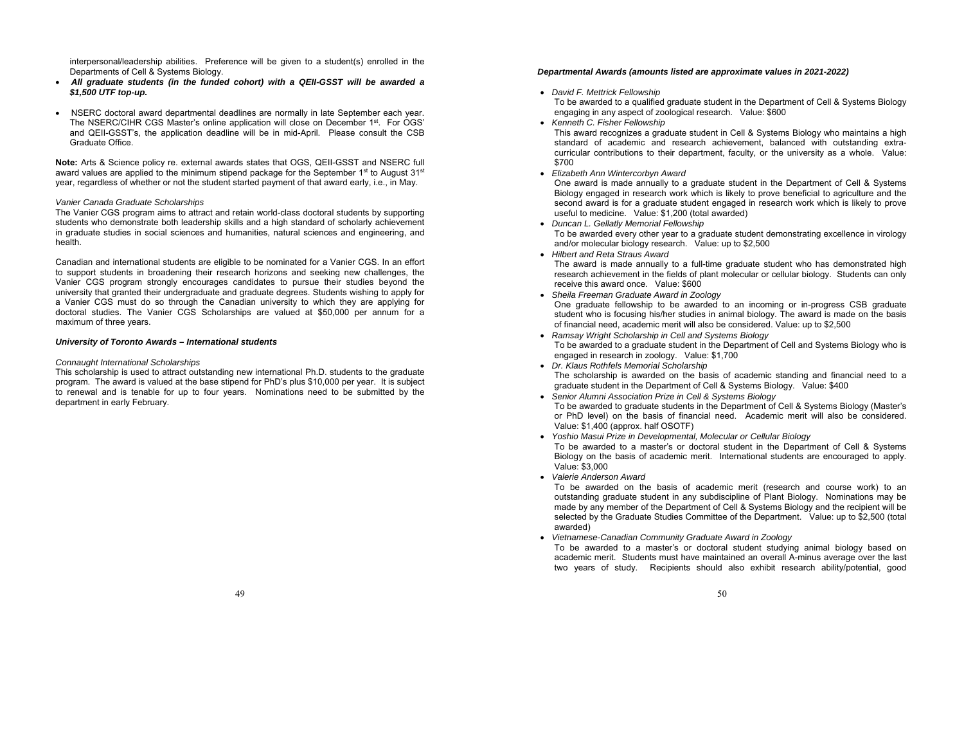interpersonal/leadership abilities. Preference will be given to a student(s) enrolled in the Departments of Cell & Systems Biology.

- ٠ *All graduate students (in the funded cohort) with a QEII-GSST will be awarded a \$1,500 UTF top-up.*
- NSERC doctoral award departmental deadlines are normally in late September each year. The NSERC/CIHR CGS Master's online application will close on December 1<sup>st</sup>. For OGS' and QEII-GSST's, the application deadline will be in mid-April. Please consult the CSB Graduate Office.

**Note:** Arts & Science policy re. external awards states that OGS, QEII-GSST and NSERC full award values are applied to the minimum stipend package for the September  $1<sup>st</sup>$  to August  $31<sup>st</sup>$ year, regardless of whether or not the student started payment of that award early, i.e., in May.

#### *Vanier Canada Graduate Scholarships*

The Vanier CGS program aims to attract and retain world-class doctoral students by supporting students who demonstrate both leadership skills and a high standard of scholarly achievement in graduate studies in social sciences and humanities, natural sciences and engineering, and health.

Canadian and international students are eligible to be nominated for a Vanier CGS. In an effort to support students in broadening their research horizons and seeking new challenges, the Vanier CGS program strongly encourages candidates to pursue their studies beyond the university that granted their undergraduate and graduate degrees. Students wishing to apply for a Vanier CGS must do so through the Canadian university to which they are applying for doctoral studies. The Vanier CGS Scholarships are valued at \$50,000 per annum for a maximum of three years.

### *University of Toronto Awards – International students*

### *Connaught International Scholarships*

This scholarship is used to attract outstanding new international Ph.D. students to the graduate program. The award is valued at the base stipend for PhD's plus \$10,000 per year. It is subject to renewal and is tenable for up to four years. Nominations need to be submitted by the department in early February.

### *Departmental Awards (amounts listed are approximate values in 2021-2022)*

- *David F. Mettrick Fellowship* To be awarded to a qualified graduate student in the Department of Cell & Systems Biology engaging in any aspect of zoological research. Value: \$600
- *Kenneth C. Fisher Fellowship*  This award recognizes a graduate student in Cell & Systems Biology who maintains a high standard of academic and research achievement, balanced with outstanding extracurricular contributions to their department, faculty, or the university as a whole. Value: \$700
- *Elizabeth Ann Wintercorbyn Award*

One award is made annually to a graduate student in the Department of Cell & Systems Biology engaged in research work which is likely to prove beneficial to agriculture and the second award is for a graduate student engaged in research work which is likely to prove useful to medicine. Value: \$1,200 (total awarded)

- *Duncan L. Gellatly Memorial Fellowship*  To be awarded every other year to a graduate student demonstrating excellence in virology and/or molecular biology research. Value: up to \$2,500
- *Hilbert and Reta Straus Award*  The award is made annually to a full-time graduate student who has demonstrated high research achievement in the fields of plant molecular or cellular biology. Students can only receive this award once. Value: \$600
- *Sheila Freeman Graduate Award in Zoology*  One graduate fellowship to be awarded to an incoming or in-progress CSB graduate student who is focusing his/her studies in animal biology. The award is made on the basis of financial need, academic merit will also be considered. Value: up to \$2,500
- *Ramsay Wright Scholarship in Cell and Systems Biology*  To be awarded to a graduate student in the Department of Cell and Systems Biology who is engaged in research in zoology. Value: \$1,700
- *Dr. Klaus Rothfels Memorial Scholarship*  The scholarship is awarded on the basis of academic standing and financial need to a graduate student in the Department of Cell & Systems Biology. Value: \$400
- *Senior Alumni Association Prize in Cell & Systems Biology*  To be awarded to graduate students in the Department of Cell & Systems Biology (Master's or PhD level) on the basis of financial need. Academic merit will also be considered. Value: \$1,400 (approx. half OSOTF)
- *Yoshio Masui Prize in Developmental, Molecular or Cellular Biology*  To be awarded to a master's or doctoral student in the Department of Cell & Systems Biology on the basis of academic merit. International students are encouraged to apply. Value: \$3,000
- *Valerie Anderson Award*

To be awarded on the basis of academic merit (research and course work) to an outstanding graduate student in any subdiscipline of Plant Biology. Nominations may be made by any member of the Department of Cell & Systems Biology and the recipient will be selected by the Graduate Studies Committee of the Department. Value: up to \$2,500 (total awarded)

*Vietnamese-Canadian Community Graduate Award in Zoology* 

To be awarded to a master's or doctoral student studying animal biology based on academic merit. Students must have maintained an overall A-minus average over the last two years of study. Recipients should also exhibit research ability/potential, good

49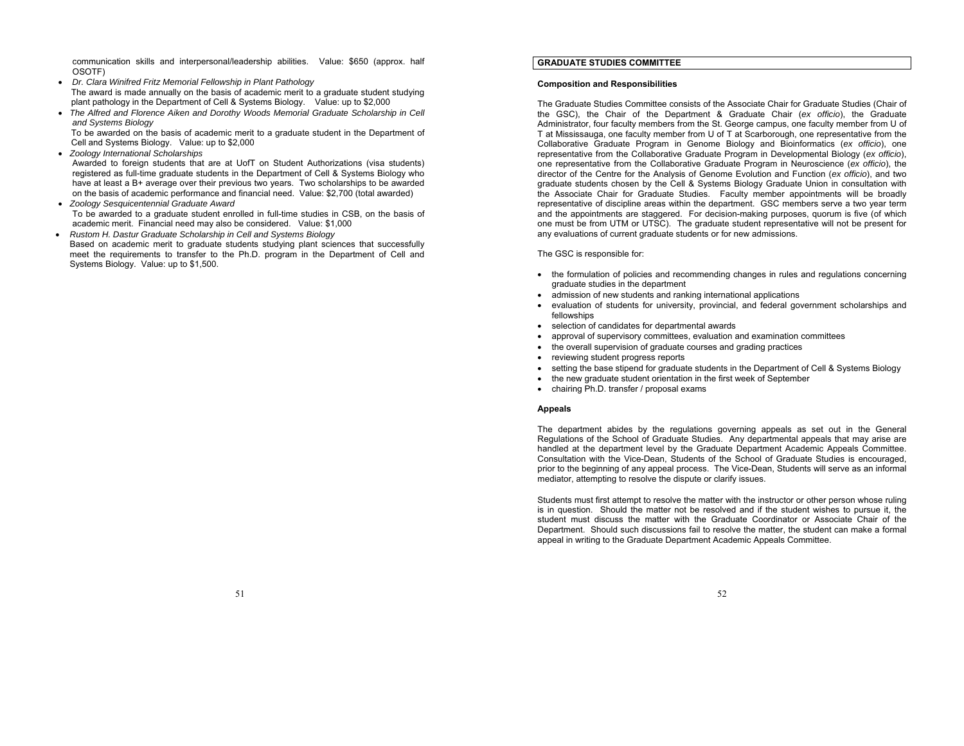communication skills and interpersonal/leadership abilities. Value: \$650 (approx. half OSOTF)

- *Dr. Clara Winifred Fritz Memorial Fellowship in Plant Pathology*  The award is made annually on the basis of academic merit to a graduate student studying plant pathology in the Department of Cell & Systems Biology. Value: up to \$2,000
- **The Alfred and Florence Aiken and Dorothy Woods Memorial Graduate Scholarship in Cell** *and Systems Biology*

To be awarded on the basis of academic merit to a graduate student in the Department of Cell and Systems Biology. Value: up to \$2,000

 $\bullet$ *Zoology International Scholarships* 

.

Awarded to foreign students that are at UofT on Student Authorizations (visa students) registered as full-time graduate students in the Department of Cell & Systems Biology who have at least a B+ average over their previous two years. Two scholarships to be awarded on the basis of academic performance and financial need. Value: \$2,700 (total awarded) *Zoology Sesquicentennial Graduate Award* 

To be awarded to a graduate student enrolled in full-time studies in CSB, on the basis of academic merit. Financial need may also be considered. Value: \$1,000

 $\bullet$  *Rustom H. Dastur Graduate Scholarship in Cell and Systems Biology* Based on academic merit to graduate students studying plant sciences that successfully meet the requirements to transfer to the Ph.D. program in the Department of Cell and Systems Biology. Value: up to \$1,500.

# **GRADUATE STUDIES COMMITTEE**

#### **Composition and Responsibilities**

The Graduate Studies Committee consists of the Associate Chair for Graduate Studies (Chair of the GSC), the Chair of the Department & Graduate Chair (*ex officio*), the Graduate Administrator, four faculty members from the St. George campus, one faculty member from U of T at Mississauga, one faculty member from U of T at Scarborough, one representative from the Collaborative Graduate Program in Genome Biology and Bioinformatics (*ex officio*), one representative from the Collaborative Graduate Program in Developmental Biology (*ex officio*), one representative from the Collaborative Graduate Program in Neuroscience (*ex officio*), the director of the Centre for the Analysis of Genome Evolution and Function (*ex officio*), and two graduate students chosen by the Cell & Systems Biology Graduate Union in consultation with the Associate Chair for Graduate Studies. Faculty member appointments will be broadly representative of discipline areas within the department. GSC members serve a two year term and the appointments are staggered. For decision-making purposes, quorum is five (of which one must be from UTM or UTSC). The graduate student representative will not be present for any evaluations of current graduate students or for new admissions.

### The GSC is responsible for:

- the formulation of policies and recommending changes in rules and regulations concerning graduate studies in the department
- admission of new students and ranking international applications
- evaluation of students for university, provincial, and federal government scholarships and fellowships
- selection of candidates for departmental awards
- approval of supervisory committees, evaluation and examination committees
- the overall supervision of graduate courses and grading practices
- reviewing student progress reports
- setting the base stipend for graduate students in the Department of Cell & Systems Biology
- the new graduate student orientation in the first week of September
- chairing Ph.D. transfer / proposal exams

#### **Appeals**

The department abides by the regulations governing appeals as set out in the General Regulations of the School of Graduate Studies. Any departmental appeals that may arise are handled at the department level by the Graduate Department Academic Appeals Committee. Consultation with the Vice-Dean, Students of the School of Graduate Studies is encouraged, prior to the beginning of any appeal process. The Vice-Dean, Students will serve as an informal mediator, attempting to resolve the dispute or clarify issues.

Students must first attempt to resolve the matter with the instructor or other person whose ruling is in question. Should the matter not be resolved and if the student wishes to pursue it, the student must discuss the matter with the Graduate Coordinator or Associate Chair of the Department. Should such discussions fail to resolve the matter, the student can make a formal appeal in writing to the Graduate Department Academic Appeals Committee.